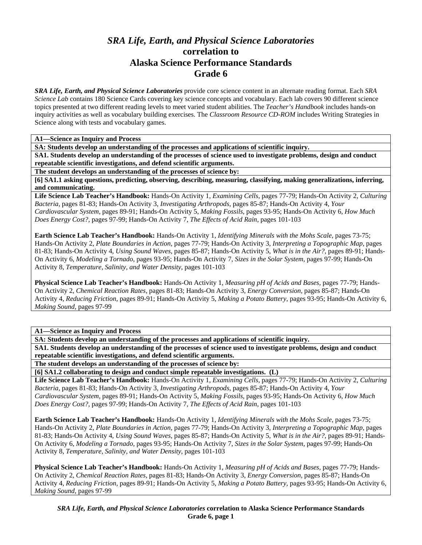## *SRA Life, Earth, and Physical Science Laboratories*  **correlation to Alaska Science Performance Standards Grade 6**

*SRA Life, Earth, and Physical Science Laboratories* provide core science content in an alternate reading format. Each *SRA Science Lab* contains 180 Science Cards covering key science concepts and vocabulary. Each lab covers 90 different science topics presented at two different reading levels to meet varied student abilities. The *Teacher's Handbook* includes hands-on inquiry activities as well as vocabulary building exercises. The *Classroom Resource CD-ROM* includes Writing Strategies in Science along with tests and vocabulary games.

**A1—Science as Inquiry and Process** 

**SA: Students develop an understanding of the processes and applications of scientific inquiry.** 

**SA1. Students develop an understanding of the processes of science used to investigate problems, design and conduct repeatable scientific investigations, and defend scientific arguments.** 

**The student develops an understanding of the processes of science by:** 

**[6] SA1.1 asking questions, predicting, observing, describing, measuring, classifying, making generalizations, inferring, and communicating.** 

**Life Science Lab Teacher's Handbook:** Hands-On Activity 1, *Examining Cells,* pages 77-79; Hands-On Activity 2, *Culturing Bacteria,* pages 81-83; Hands-On Activity 3, *Investigating Arthropods,* pages 85-87; Hands-On Activity 4, *Your Cardiovascular System,* pages 89-91; Hands-On Activity 5, *Making Fossils,* pages 93-95; Hands-On Activity 6, *How Much Does Energy Cost?,* pages 97-99; Hands-On Activity 7, *The Effects of Acid Rain,* pages 101-103

**Earth Science Lab Teacher's Handbook:** Hands-On Activity 1, *Identifying Minerals with the Mohs Scale,* pages 73-75; Hands-On Activity 2, *Plate Boundaries in Action,* pages 77-79; Hands-On Activity 3, *Interpreting a Topographic Map,* pages 81-83; Hands-On Activity 4, *Using Sound Waves,* pages 85-87; Hands-On Activity 5, *What is in the Air?,* pages 89-91; Hands-On Activity 6, *Modeling a Tornado,* pages 93-95; Hands-On Activity 7, *Sizes in the Solar System,* pages 97-99; Hands-On Activity 8, *Temperature, Salinity, and Water Density,* pages 101-103

**Physical Science Lab Teacher's Handbook:** Hands-On Activity 1, *Measuring pH of Acids and Bases,* pages 77-79; Hands-On Activity 2, *Chemical Reaction Rates,* pages 81-83; Hands-On Activity 3, *Energy Conversion,* pages 85-87; Hands-On Activity 4, *Reducing Friction,* pages 89-91; Hands-On Activity 5, *Making a Potato Battery,* pages 93-95; Hands-On Activity 6, *Making Sound,* pages 97-99

**A1—Science as Inquiry and Process** 

**SA: Students develop an understanding of the processes and applications of scientific inquiry.** 

**SA1. Students develop an understanding of the processes of science used to investigate problems, design and conduct repeatable scientific investigations, and defend scientific arguments.** 

**The student develops an understanding of the processes of science by:** 

**[6] SA1.2 collaborating to design and conduct simple repeatable investigations. (L)** 

**Life Science Lab Teacher's Handbook:** Hands-On Activity 1, *Examining Cells,* pages 77-79; Hands-On Activity 2, *Culturing Bacteria,* pages 81-83; Hands-On Activity 3, *Investigating Arthropods,* pages 85-87; Hands-On Activity 4, *Your Cardiovascular System,* pages 89-91; Hands-On Activity 5, *Making Fossils,* pages 93-95; Hands-On Activity 6, *How Much Does Energy Cost?,* pages 97-99; Hands-On Activity 7, *The Effects of Acid Rain,* pages 101-103

**Earth Science Lab Teacher's Handbook:** Hands-On Activity 1, *Identifying Minerals with the Mohs Scale,* pages 73-75; Hands-On Activity 2, *Plate Boundaries in Action,* pages 77-79; Hands-On Activity 3, *Interpreting a Topographic Map,* pages 81-83; Hands-On Activity 4, *Using Sound Waves,* pages 85-87; Hands-On Activity 5, *What is in the Air?,* pages 89-91; Hands-On Activity 6, *Modeling a Tornado,* pages 93-95; Hands-On Activity 7, *Sizes in the Solar System,* pages 97-99; Hands-On Activity 8, *Temperature, Salinity, and Water Density,* pages 101-103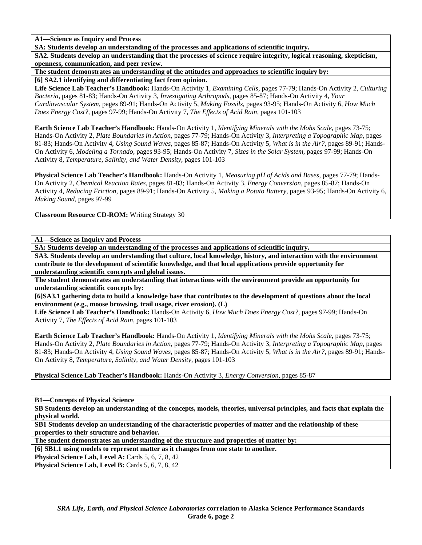**A1—Science as Inquiry and Process** 

**SA: Students develop an understanding of the processes and applications of scientific inquiry.** 

**SA2. Students develop an understanding that the processes of science require integrity, logical reasoning, skepticism, openness, communication, and peer review.** 

**The student demonstrates an understanding of the attitudes and approaches to scientific inquiry by:** 

**[6] SA2.1 identifying and differentiating fact from opinion.** 

**Life Science Lab Teacher's Handbook:** Hands-On Activity 1, *Examining Cells,* pages 77-79; Hands-On Activity 2, *Culturing Bacteria,* pages 81-83; Hands-On Activity 3, *Investigating Arthropods,* pages 85-87; Hands-On Activity 4, *Your Cardiovascular System,* pages 89-91; Hands-On Activity 5, *Making Fossils,* pages 93-95; Hands-On Activity 6, *How Much Does Energy Cost?,* pages 97-99; Hands-On Activity 7, *The Effects of Acid Rain,* pages 101-103

**Earth Science Lab Teacher's Handbook:** Hands-On Activity 1, *Identifying Minerals with the Mohs Scale,* pages 73-75; Hands-On Activity 2, *Plate Boundaries in Action,* pages 77-79; Hands-On Activity 3, *Interpreting a Topographic Map,* pages 81-83; Hands-On Activity 4, *Using Sound Waves,* pages 85-87; Hands-On Activity 5, *What is in the Air?,* pages 89-91; Hands-On Activity 6, *Modeling a Tornado,* pages 93-95; Hands-On Activity 7, *Sizes in the Solar System,* pages 97-99; Hands-On Activity 8, *Temperature, Salinity, and Water Density,* pages 101-103

**Physical Science Lab Teacher's Handbook:** Hands-On Activity 1, *Measuring pH of Acids and Bases,* pages 77-79; Hands-On Activity 2, *Chemical Reaction Rates,* pages 81-83; Hands-On Activity 3, *Energy Conversion,* pages 85-87; Hands-On Activity 4, *Reducing Friction,* pages 89-91; Hands-On Activity 5, *Making a Potato Battery,* pages 93-95; Hands-On Activity 6, *Making Sound,* pages 97-99

**Classroom Resource CD-ROM:** Writing Strategy 30

**A1—Science as Inquiry and Process** 

**SA: Students develop an understanding of the processes and applications of scientific inquiry.** 

**SA3. Students develop an understanding that culture, local knowledge, history, and interaction with the environment contribute to the development of scientific knowledge, and that local applications provide opportunity for understanding scientific concepts and global issues.** 

**The student demonstrates an understanding that interactions with the environment provide an opportunity for understanding scientific concepts by:** 

**[6]SA3.1 gathering data to build a knowledge base that contributes to the development of questions about the local environment (e.g., moose browsing, trail usage, river erosion). (L)** 

**Life Science Lab Teacher's Handbook:** Hands-On Activity 6, *How Much Does Energy Cost?,* pages 97-99; Hands-On Activity 7, *The Effects of Acid Rain,* pages 101-103

**Earth Science Lab Teacher's Handbook:** Hands-On Activity 1, *Identifying Minerals with the Mohs Scale,* pages 73-75; Hands-On Activity 2, *Plate Boundaries in Action,* pages 77-79; Hands-On Activity 3, *Interpreting a Topographic Map,* pages 81-83; Hands-On Activity 4, *Using Sound Waves,* pages 85-87; Hands-On Activity 5, *What is in the Air?,* pages 89-91; Hands-On Activity 8, *Temperature, Salinity, and Water Density,* pages 101-103

**Physical Science Lab Teacher's Handbook:** Hands-On Activity 3, *Energy Conversion,* pages 85-87

**B1—Concepts of Physical Science** 

**SB Students develop an understanding of the concepts, models, theories, universal principles, and facts that explain the physical world.** 

**SB1 Students develop an understanding of the characteristic properties of matter and the relationship of these properties to their structure and behavior.** 

**The student demonstrates an understanding of the structure and properties of matter by:** 

**[6] SB1.1 using models to represent matter as it changes from one state to another.** 

**Physical Science Lab, Level A: Cards 5, 6, 7, 8, 42** 

**Physical Science Lab, Level B: Cards 5, 6, 7, 8, 42**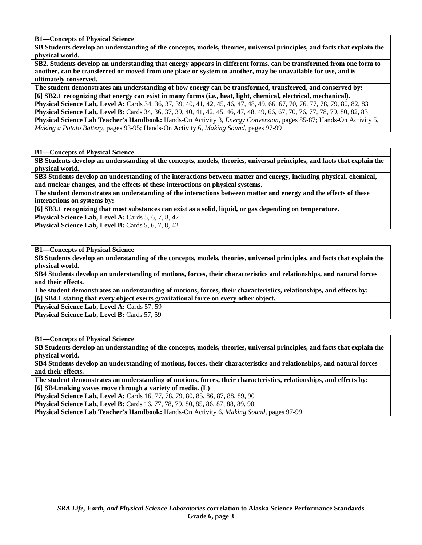**B1—Concepts of Physical Science** 

**SB Students develop an understanding of the concepts, models, theories, universal principles, and facts that explain the physical world.** 

**SB2. Students develop an understanding that energy appears in different forms, can be transformed from one form to another, can be transferred or moved from one place or system to another, may be unavailable for use, and is ultimately conserved.** 

**The student demonstrates am understanding of how energy can be transformed, transferred, and conserved by:** 

**[6] SB2.1 recognizing that energy can exist in many forms (i.e., heat, light, chemical, electrical, mechanical). Physical Science Lab, Level A:** Cards 34, 36, 37, 39, 40, 41, 42, 45, 46, 47, 48, 49, 66, 67, 70, 76, 77, 78, 79, 80, 82, 83 **Physical Science Lab, Level B:** Cards 34, 36, 37, 39, 40, 41, 42, 45, 46, 47, 48, 49, 66, 67, 70, 76, 77, 78, 79, 80, 82, 83 **Physical Science Lab Teacher's Handbook:** Hands-On Activity 3, *Energy Conversion,* pages 85-87; Hands-On Activity 5, *Making a Potato Battery,* pages 93-95; Hands-On Activity 6, *Making Sound,* pages 97-99

**B1—Concepts of Physical Science** 

**SB Students develop an understanding of the concepts, models, theories, universal principles, and facts that explain the physical world.** 

**SB3 Students develop an understanding of the interactions between matter and energy, including physical, chemical, and nuclear changes, and the effects of these interactions on physical systems.** 

**The student demonstrates an understanding of the interactions between matter and energy and the effects of these interactions on systems by:** 

**[6] SB3.1 recognizing that most substances can exist as a solid, liquid, or gas depending on temperature.** 

**Physical Science Lab, Level A: Cards 5, 6, 7, 8, 42** 

**Physical Science Lab, Level B:** Cards 5, 6, 7, 8, 42

**B1—Concepts of Physical Science** 

**SB Students develop an understanding of the concepts, models, theories, universal principles, and facts that explain the physical world.** 

**SB4 Students develop an understanding of motions, forces, their characteristics and relationships, and natural forces and their effects.** 

**The student demonstrates an understanding of motions, forces, their characteristics, relationships, and effects by: [6] SB4.1 stating that every object exerts gravitational force on every other object.** 

Physical Science Lab, Level A: Cards 57, 59 Physical Science Lab, Level B: Cards 57, 59

**B1—Concepts of Physical Science** 

**SB Students develop an understanding of the concepts, models, theories, universal principles, and facts that explain the physical world.** 

**SB4 Students develop an understanding of motions, forces, their characteristics and relationships, and natural forces and their effects.** 

**The student demonstrates an understanding of motions, forces, their characteristics, relationships, and effects by: [6] SB4.making waves move through a variety of media. (L)** 

**Physical Science Lab, Level A: Cards 16, 77, 78, 79, 80, 85, 86, 87, 88, 89, 90 Physical Science Lab, Level B:** Cards 16, 77, 78, 79, 80, 85, 86, 87, 88, 89, 90 **Physical Science Lab Teacher's Handbook:** Hands-On Activity 6, *Making Sound,* pages 97-99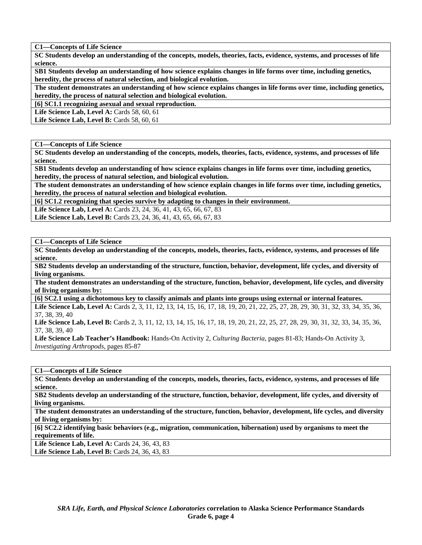**C1—Concepts of Life Science** 

**SC Students develop an understanding of the concepts, models, theories, facts, evidence, systems, and processes of life science.** 

**SB1 Students develop an understanding of how science explains changes in life forms over time, including genetics, heredity, the process of natural selection, and biological evolution.** 

**The student demonstrates an understanding of how science explains changes in life forms over time, including genetics, heredity, the process of natural selection and biological evolution.** 

**[6] SC1.1 recognizing asexual and sexual reproduction.** 

**Life Science Lab, Level A: Cards 58, 60, 61** 

**Life Science Lab, Level B: Cards 58, 60, 61** 

**C1—Concepts of Life Science** 

**SC Students develop an understanding of the concepts, models, theories, facts, evidence, systems, and processes of life science.** 

**SB1 Students develop an understanding of how science explains changes in life forms over time, including genetics, heredity, the process of natural selection, and biological evolution.** 

**The student demonstrates an understanding of how science explain changes in life forms over time, including genetics, heredity, the process of natural selection and biological evolution.** 

**[6] SC1.2 recognizing that species survive by adapting to changes in their environment.** 

Life Science Lab, Level A: Cards 23, 24, 36, 41, 43, 65, 66, 67, 83

Life Science Lab, Level B: Cards 23, 24, 36, 41, 43, 65, 66, 67, 83

**C1—Concepts of Life Science** 

**SC Students develop an understanding of the concepts, models, theories, facts, evidence, systems, and processes of life science.** 

**SB2 Students develop an understanding of the structure, function, behavior, development, life cycles, and diversity of living organisms.** 

**The student demonstrates an understanding of the structure, function, behavior, development, life cycles, and diversity of living organisms by:** 

**[6] SC2.1 using a dichotomous key to classify animals and plants into groups using external or internal features.** 

Life Science Lab, Level A: Cards 2, 3, 11, 12, 13, 14, 15, 16, 17, 18, 19, 20, 21, 22, 25, 27, 28, 29, 30, 31, 32, 33, 34, 35, 36, 37, 38, 39, 40

Life Science Lab, Level B: Cards 2, 3, 11, 12, 13, 14, 15, 16, 17, 18, 19, 20, 21, 22, 25, 27, 28, 29, 30, 31, 32, 33, 34, 35, 36, 37, 38, 39, 40

**Life Science Lab Teacher's Handbook:** Hands-On Activity 2, *Culturing Bacteria,* pages 81-83; Hands-On Activity 3, *Investigating Arthropods,* pages 85-87

**C1—Concepts of Life Science** 

**SC Students develop an understanding of the concepts, models, theories, facts, evidence, systems, and processes of life science.** 

**SB2 Students develop an understanding of the structure, function, behavior, development, life cycles, and diversity of living organisms.** 

**The student demonstrates an understanding of the structure, function, behavior, development, life cycles, and diversity of living organisms by:** 

**[6] SC2.2 identifying basic behaviors (e.g., migration, communication, hibernation) used by organisms to meet the requirements of life.** 

Life Science Lab, Level A: Cards 24, 36, 43, 83 **Life Science Lab, Level B: Cards 24, 36, 43, 83**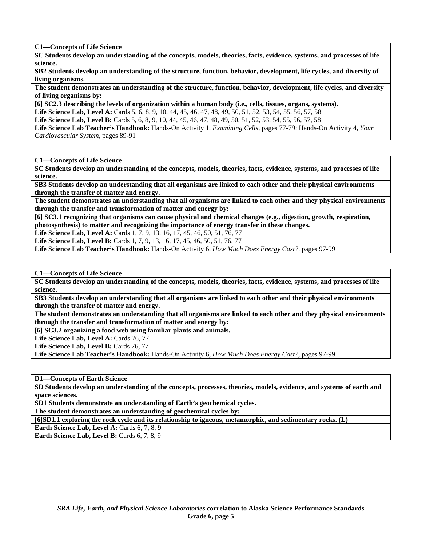**C1—Concepts of Life Science** 

**SC Students develop an understanding of the concepts, models, theories, facts, evidence, systems, and processes of life science.** 

**SB2 Students develop an understanding of the structure, function, behavior, development, life cycles, and diversity of living organisms.** 

**The student demonstrates an understanding of the structure, function, behavior, development, life cycles, and diversity of living organisms by:** 

**[6] SC2.3 describing the levels of organization within a human body (i.e., cells, tissues, organs, systems).** 

Life Science Lab, Level A: Cards 5, 6, 8, 9, 10, 44, 45, 46, 47, 48, 49, 50, 51, 52, 53, 54, 55, 56, 57, 58

**Life Science Lab, Level B:** Cards 5, 6, 8, 9, 10, 44, 45, 46, 47, 48, 49, 50, 51, 52, 53, 54, 55, 56, 57, 58

**Life Science Lab Teacher's Handbook:** Hands-On Activity 1, *Examining Cells,* pages 77-79; Hands-On Activity 4, *Your Cardiovascular System,* pages 89-91

**C1—Concepts of Life Science** 

**SC Students develop an understanding of the concepts, models, theories, facts, evidence, systems, and processes of life science.** 

**SB3 Students develop an understanding that all organisms are linked to each other and their physical environments through the transfer of matter and energy.** 

**The student demonstrates an understanding that all organisms are linked to each other and they physical environments through the transfer and transformation of matter and energy by:** 

**[6] SC3.1 recognizing that organisms can cause physical and chemical changes (e.g., digestion, growth, respiration, photosynthesis) to matter and recognizing the importance of energy transfer in these changes.** 

Life Science Lab, Level A: Cards 1, 7, 9, 13, 16, 17, 45, 46, 50, 51, 76, 77

**Life Science Lab, Level B:** Cards 1, 7, 9, 13, 16, 17, 45, 46, 50, 51, 76, 77

**Life Science Lab Teacher's Handbook:** Hands-On Activity 6, *How Much Does Energy Cost?,* pages 97-99

**C1—Concepts of Life Science** 

**SC Students develop an understanding of the concepts, models, theories, facts, evidence, systems, and processes of life science.** 

**SB3 Students develop an understanding that all organisms are linked to each other and their physical environments through the transfer of matter and energy.** 

**The student demonstrates an understanding that all organisms are linked to each other and they physical environments through the transfer and transformation of matter and energy by:** 

**[6] SC3.2 organizing a food web using familiar plants and animals.** 

Life Science Lab, Level A: Cards 76, 77

Life Science Lab, Level B: Cards 76, 77

**Life Science Lab Teacher's Handbook:** Hands-On Activity 6, *How Much Does Energy Cost?,* pages 97-99

**D1—Concepts of Earth Science** 

**SD Students develop an understanding of the concepts, processes, theories, models, evidence, and systems of earth and space sciences.** 

**SD1 Students demonstrate an understanding of Earth's geochemical cycles.** 

**The student demonstrates an understanding of geochemical cycles by:** 

**[6]SD1.1 exploring the rock cycle and its relationship to igneous, metamorphic, and sedimentary rocks. (L)** 

**Earth Science Lab, Level A: Cards 6, 7, 8, 9** 

**Earth Science Lab, Level B:** Cards 6, 7, 8, 9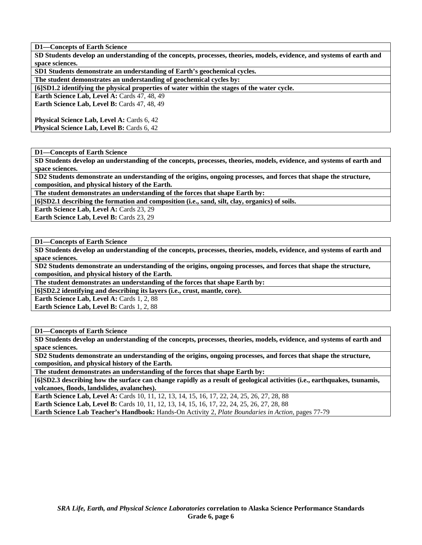**SD Students develop an understanding of the concepts, processes, theories, models, evidence, and systems of earth and space sciences.** 

**SD1 Students demonstrate an understanding of Earth's geochemical cycles.** 

**The student demonstrates an understanding of geochemical cycles by:** 

**[6]SD1.2 identifying the physical properties of water within the stages of the water cycle.** 

**Earth Science Lab, Level A: Cards 47, 48, 49** 

**Earth Science Lab, Level B: Cards 47, 48, 49** 

**Physical Science Lab, Level A: Cards 6, 42 Physical Science Lab, Level B: Cards 6, 42** 

**D1—Concepts of Earth Science** 

**SD Students develop an understanding of the concepts, processes, theories, models, evidence, and systems of earth and space sciences.** 

**SD2 Students demonstrate an understanding of the origins, ongoing processes, and forces that shape the structure, composition, and physical history of the Earth.** 

**The student demonstrates an understanding of the forces that shape Earth by:** 

**[6]SD2.1 describing the formation and composition (i.e., sand, silt, clay, organics) of soils.** 

**Earth Science Lab, Level A: Cards 23, 29** 

**Earth Science Lab, Level B: Cards 23, 29** 

**D1—Concepts of Earth Science** 

**SD Students develop an understanding of the concepts, processes, theories, models, evidence, and systems of earth and space sciences.** 

**SD2 Students demonstrate an understanding of the origins, ongoing processes, and forces that shape the structure, composition, and physical history of the Earth.** 

**The student demonstrates an understanding of the forces that shape Earth by:** 

**[6]SD2.2 identifying and describing its layers (i.e., crust, mantle, core).** 

**Earth Science Lab, Level A: Cards 1, 2, 88** 

Earth Science Lab, Level B: Cards 1, 2, 88

**D1—Concepts of Earth Science** 

**SD Students develop an understanding of the concepts, processes, theories, models, evidence, and systems of earth and space sciences.** 

**SD2 Students demonstrate an understanding of the origins, ongoing processes, and forces that shape the structure, composition, and physical history of the Earth.** 

**The student demonstrates an understanding of the forces that shape Earth by:** 

**[6]SD2.3 describing how the surface can change rapidly as a result of geological activities (i.e., earthquakes, tsunamis, volcanoes, floods, landslides, avalanches).** 

**Earth Science Lab, Level A:** Cards 10, 11, 12, 13, 14, 15, 16, 17, 22, 24, 25, 26, 27, 28, 88 **Earth Science Lab, Level B:** Cards 10, 11, 12, 13, 14, 15, 16, 17, 22, 24, 25, 26, 27, 28, 88 **Earth Science Lab Teacher's Handbook:** Hands-On Activity 2, *Plate Boundaries in Action,* pages 77-79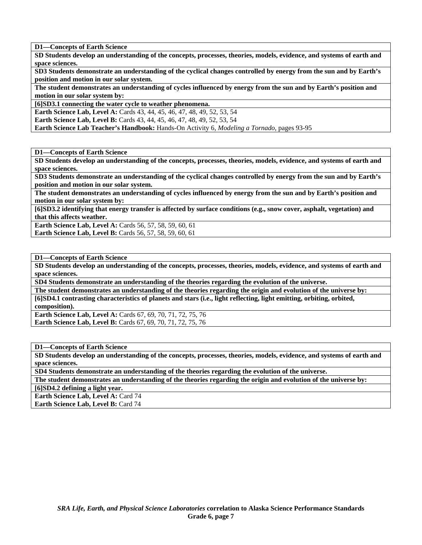**SD Students develop an understanding of the concepts, processes, theories, models, evidence, and systems of earth and space sciences.** 

**SD3 Students demonstrate an understanding of the cyclical changes controlled by energy from the sun and by Earth's position and motion in our solar system.** 

**The student demonstrates an understanding of cycles influenced by energy from the sun and by Earth's position and motion in our solar system by:** 

**[6]SD3.1 connecting the water cycle to weather phenomena.** 

**Earth Science Lab, Level A: Cards 43, 44, 45, 46, 47, 48, 49, 52, 53, 54** 

**Earth Science Lab, Level B:** Cards 43, 44, 45, 46, 47, 48, 49, 52, 53, 54

**Earth Science Lab Teacher's Handbook:** Hands-On Activity 6, *Modeling a Tornado,* pages 93-95

**D1—Concepts of Earth Science** 

**SD Students develop an understanding of the concepts, processes, theories, models, evidence, and systems of earth and space sciences.** 

**SD3 Students demonstrate an understanding of the cyclical changes controlled by energy from the sun and by Earth's position and motion in our solar system.** 

**The student demonstrates an understanding of cycles influenced by energy from the sun and by Earth's position and motion in our solar system by:** 

**[6]SD3.2 identifying that energy transfer is affected by surface conditions (e.g., snow cover, asphalt, vegetation) and that this affects weather.** 

**Earth Science Lab, Level A: Cards 56, 57, 58, 59, 60, 61 Earth Science Lab, Level B: Cards 56, 57, 58, 59, 60, 61** 

**D1—Concepts of Earth Science** 

**SD Students develop an understanding of the concepts, processes, theories, models, evidence, and systems of earth and space sciences.** 

**SD4 Students demonstrate an understanding of the theories regarding the evolution of the universe.** 

**The student demonstrates an understanding of the theories regarding the origin and evolution of the universe by: [6]SD4.1 contrasting characteristics of planets and stars (i.e., light reflecting, light emitting, orbiting, orbited, composition).** 

**Earth Science Lab, Level A:** Cards 67, 69, 70, 71, 72, 75, 76 **Earth Science Lab, Level B:** Cards 67, 69, 70, 71, 72, 75, 76

**D1—Concepts of Earth Science** 

**SD Students develop an understanding of the concepts, processes, theories, models, evidence, and systems of earth and space sciences.** 

**SD4 Students demonstrate an understanding of the theories regarding the evolution of the universe.** 

**The student demonstrates an understanding of the theories regarding the origin and evolution of the universe by:** 

**[6]SD4.2 defining a light year.** 

**Earth Science Lab, Level A: Card 74 Earth Science Lab, Level B: Card 74**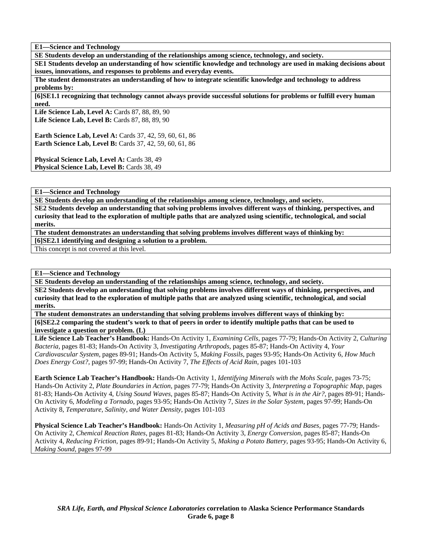**E1—Science and Technology** 

**SE Students develop an understanding of the relationships among science, technology, and society.** 

**SE1 Students develop an understanding of how scientific knowledge and technology are used in making decisions about issues, innovations, and responses to problems and everyday events.** 

**The student demonstrates an understanding of how to integrate scientific knowledge and technology to address problems by:** 

**[6]SE1.1 recognizing that technology cannot always provide successful solutions for problems or fulfill every human need.** 

Life Science Lab, Level A: Cards 87, 88, 89, 90 **Life Science Lab, Level B: Cards 87, 88, 89, 90** 

**Earth Science Lab, Level A: Cards 37, 42, 59, 60, 61, 86 Earth Science Lab, Level B:** Cards 37, 42, 59, 60, 61, 86

Physical Science Lab, Level A: Cards 38, 49 Physical Science Lab, Level B: Cards 38, 49

**E1—Science and Technology** 

**SE Students develop an understanding of the relationships among science, technology, and society.** 

**SE2 Students develop an understanding that solving problems involves different ways of thinking, perspectives, and curiosity that lead to the exploration of multiple paths that are analyzed using scientific, technological, and social merits.** 

**The student demonstrates an understanding that solving problems involves different ways of thinking by:** 

**[6]SE2.1 identifying and designing a solution to a problem.** 

This concept is not covered at this level.

**E1—Science and Technology** 

**SE Students develop an understanding of the relationships among science, technology, and society.** 

**SE2 Students develop an understanding that solving problems involves different ways of thinking, perspectives, and curiosity that lead to the exploration of multiple paths that are analyzed using scientific, technological, and social merits.** 

**The student demonstrates an understanding that solving problems involves different ways of thinking by: [6]SE2.2 comparing the student's work to that of peers in order to identify multiple paths that can be used to investigate a question or problem. (L)** 

**Life Science Lab Teacher's Handbook:** Hands-On Activity 1, *Examining Cells,* pages 77-79; Hands-On Activity 2, *Culturing Bacteria,* pages 81-83; Hands-On Activity 3, *Investigating Arthropods,* pages 85-87; Hands-On Activity 4, *Your Cardiovascular System,* pages 89-91; Hands-On Activity 5, *Making Fossils,* pages 93-95; Hands-On Activity 6, *How Much Does Energy Cost?,* pages 97-99; Hands-On Activity 7, *The Effects of Acid Rain,* pages 101-103

**Earth Science Lab Teacher's Handbook:** Hands-On Activity 1, *Identifying Minerals with the Mohs Scale,* pages 73-75; Hands-On Activity 2, *Plate Boundaries in Action,* pages 77-79; Hands-On Activity 3, *Interpreting a Topographic Map,* pages 81-83; Hands-On Activity 4, *Using Sound Waves,* pages 85-87; Hands-On Activity 5, *What is in the Air?,* pages 89-91; Hands-On Activity 6, *Modeling a Tornado,* pages 93-95; Hands-On Activity 7, *Sizes in the Solar System,* pages 97-99; Hands-On Activity 8, *Temperature, Salinity, and Water Density,* pages 101-103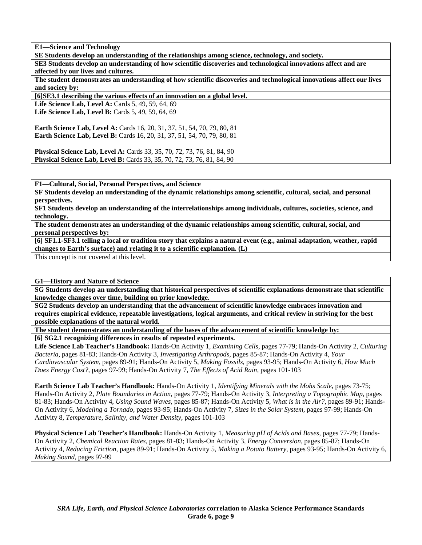**E1—Science and Technology** 

**SE Students develop an understanding of the relationships among science, technology, and society.** 

**SE3 Students develop an understanding of how scientific discoveries and technological innovations affect and are affected by our lives and cultures.** 

**The student demonstrates an understanding of how scientific discoveries and technological innovations affect our lives and society by:** 

**[6]SE3.1 describing the various effects of an innovation on a global level.** 

**Life Science Lab, Level A: Cards 5, 49, 59, 64, 69 Life Science Lab, Level B: Cards 5, 49, 59, 64, 69** 

**Earth Science Lab, Level A: Cards 16, 20, 31, 37, 51, 54, 70, 79, 80, 81 Earth Science Lab, Level B:** Cards 16, 20, 31, 37, 51, 54, 70, 79, 80, 81

**Physical Science Lab, Level A:** Cards 33, 35, 70, 72, 73, 76, 81, 84, 90 **Physical Science Lab, Level B:** Cards 33, 35, 70, 72, 73, 76, 81, 84, 90

**F1—Cultural, Social, Personal Perspectives, and Science** 

**SF Students develop an understanding of the dynamic relationships among scientific, cultural, social, and personal perspectives.** 

**SF1 Students develop an understanding of the interrelationships among individuals, cultures, societies, science, and technology.** 

**The student demonstrates an understanding of the dynamic relationships among scientific, cultural, social, and personal perspectives by:** 

**[6] SF1.1-SF3.1 telling a local or tradition story that explains a natural event (e.g., animal adaptation, weather, rapid changes to Earth's surface) and relating it to a scientific explanation. (L)** 

This concept is not covered at this level.

**G1—History and Nature of Science** 

**SG Students develop an understanding that historical perspectives of scientific explanations demonstrate that scientific knowledge changes over time, building on prior knowledge.** 

**SG2 Students develop an understanding that the advancement of scientific knowledge embraces innovation and requires empirical evidence, repeatable investigations, logical arguments, and critical review in striving for the best possible explanations of the natural world.** 

**The student demonstrates an understanding of the bases of the advancement of scientific knowledge by: [6] SG2.1 recognizing differences in results of repeated experiments.** 

**Life Science Lab Teacher's Handbook:** Hands-On Activity 1, *Examining Cells,* pages 77-79; Hands-On Activity 2, *Culturing Bacteria,* pages 81-83; Hands-On Activity 3, *Investigating Arthropods,* pages 85-87; Hands-On Activity 4, *Your Cardiovascular System,* pages 89-91; Hands-On Activity 5, *Making Fossils,* pages 93-95; Hands-On Activity 6, *How Much Does Energy Cost?,* pages 97-99; Hands-On Activity 7, *The Effects of Acid Rain,* pages 101-103

**Earth Science Lab Teacher's Handbook:** Hands-On Activity 1, *Identifying Minerals with the Mohs Scale,* pages 73-75; Hands-On Activity 2, *Plate Boundaries in Action,* pages 77-79; Hands-On Activity 3, *Interpreting a Topographic Map,* pages 81-83; Hands-On Activity 4, *Using Sound Waves,* pages 85-87; Hands-On Activity 5, *What is in the Air?,* pages 89-91; Hands-On Activity 6, *Modeling a Tornado,* pages 93-95; Hands-On Activity 7, *Sizes in the Solar System,* pages 97-99; Hands-On Activity 8, *Temperature, Salinity, and Water Density,* pages 101-103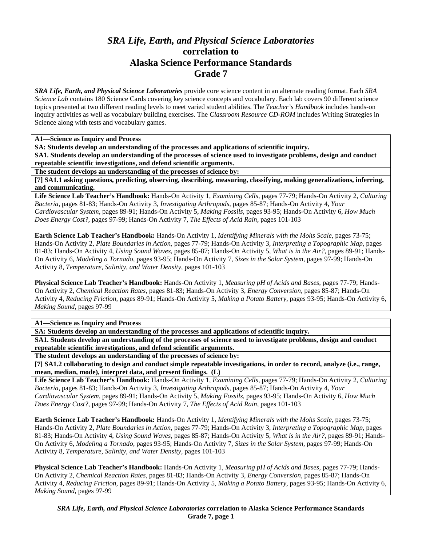## *SRA Life, Earth, and Physical Science Laboratories*  **correlation to Alaska Science Performance Standards Grade 7**

*SRA Life, Earth, and Physical Science Laboratories* provide core science content in an alternate reading format. Each *SRA Science Lab* contains 180 Science Cards covering key science concepts and vocabulary. Each lab covers 90 different science topics presented at two different reading levels to meet varied student abilities. The *Teacher's Handbook* includes hands-on inquiry activities as well as vocabulary building exercises. The *Classroom Resource CD-ROM* includes Writing Strategies in Science along with tests and vocabulary games.

**A1—Science as Inquiry and Process** 

**SA: Students develop an understanding of the processes and applications of scientific inquiry.** 

**SA1. Students develop an understanding of the processes of science used to investigate problems, design and conduct repeatable scientific investigations, and defend scientific arguments.** 

**The student develops an understanding of the processes of science by:** 

**[7] SA1.1 asking questions, predicting, observing, describing, measuring, classifying, making generalizations, inferring, and communicating.** 

**Life Science Lab Teacher's Handbook:** Hands-On Activity 1, *Examining Cells,* pages 77-79; Hands-On Activity 2, *Culturing Bacteria,* pages 81-83; Hands-On Activity 3, *Investigating Arthropods,* pages 85-87; Hands-On Activity 4, *Your Cardiovascular System,* pages 89-91; Hands-On Activity 5, *Making Fossils,* pages 93-95; Hands-On Activity 6, *How Much Does Energy Cost?,* pages 97-99; Hands-On Activity 7, *The Effects of Acid Rain,* pages 101-103

**Earth Science Lab Teacher's Handbook:** Hands-On Activity 1, *Identifying Minerals with the Mohs Scale,* pages 73-75; Hands-On Activity 2, *Plate Boundaries in Action,* pages 77-79; Hands-On Activity 3, *Interpreting a Topographic Map,* pages 81-83; Hands-On Activity 4, *Using Sound Waves,* pages 85-87; Hands-On Activity 5, *What is in the Air?,* pages 89-91; Hands-On Activity 6, *Modeling a Tornado,* pages 93-95; Hands-On Activity 7, *Sizes in the Solar System,* pages 97-99; Hands-On Activity 8, *Temperature, Salinity, and Water Density,* pages 101-103

**Physical Science Lab Teacher's Handbook:** Hands-On Activity 1, *Measuring pH of Acids and Bases,* pages 77-79; Hands-On Activity 2, *Chemical Reaction Rates,* pages 81-83; Hands-On Activity 3, *Energy Conversion,* pages 85-87; Hands-On Activity 4, *Reducing Friction,* pages 89-91; Hands-On Activity 5, *Making a Potato Battery,* pages 93-95; Hands-On Activity 6, *Making Sound,* pages 97-99

**A1—Science as Inquiry and Process** 

**SA: Students develop an understanding of the processes and applications of scientific inquiry.** 

**SA1. Students develop an understanding of the processes of science used to investigate problems, design and conduct repeatable scientific investigations, and defend scientific arguments.** 

**The student develops an understanding of the processes of science by:** 

**[7] SA1.2 collaborating to design and conduct simple repeatable investigations, in order to record, analyze (i.e., range, mean, median, mode), interpret data, and present findings. (L)** 

**Life Science Lab Teacher's Handbook:** Hands-On Activity 1, *Examining Cells,* pages 77-79; Hands-On Activity 2, *Culturing Bacteria,* pages 81-83; Hands-On Activity 3, *Investigating Arthropods,* pages 85-87; Hands-On Activity 4, *Your Cardiovascular System,* pages 89-91; Hands-On Activity 5, *Making Fossils,* pages 93-95; Hands-On Activity 6, *How Much Does Energy Cost?,* pages 97-99; Hands-On Activity 7, *The Effects of Acid Rain,* pages 101-103

**Earth Science Lab Teacher's Handbook:** Hands-On Activity 1, *Identifying Minerals with the Mohs Scale,* pages 73-75; Hands-On Activity 2, *Plate Boundaries in Action,* pages 77-79; Hands-On Activity 3, *Interpreting a Topographic Map,* pages 81-83; Hands-On Activity 4, *Using Sound Waves,* pages 85-87; Hands-On Activity 5, *What is in the Air?,* pages 89-91; Hands-On Activity 6, *Modeling a Tornado,* pages 93-95; Hands-On Activity 7, *Sizes in the Solar System,* pages 97-99; Hands-On Activity 8, *Temperature, Salinity, and Water Density,* pages 101-103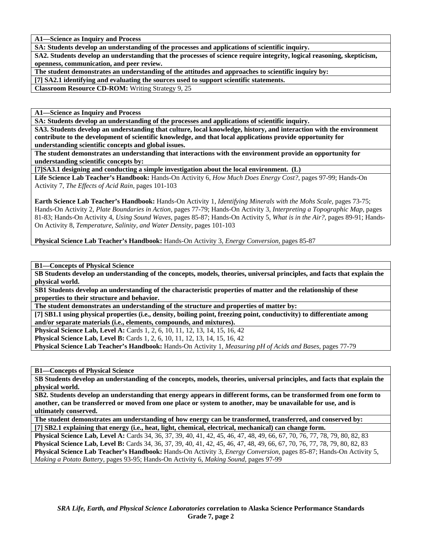**A1—Science as Inquiry and Process** 

**SA: Students develop an understanding of the processes and applications of scientific inquiry.** 

**SA2. Students develop an understanding that the processes of science require integrity, logical reasoning, skepticism, openness, communication, and peer review.** 

**The student demonstrates an understanding of the attitudes and approaches to scientific inquiry by:** 

**[7] SA2.1 identifying and evaluating the sources used to support scientific statements.** 

**Classroom Resource CD-ROM:** Writing Strategy 9, 25

**A1—Science as Inquiry and Process** 

**SA: Students develop an understanding of the processes and applications of scientific inquiry.** 

**SA3. Students develop an understanding that culture, local knowledge, history, and interaction with the environment contribute to the development of scientific knowledge, and that local applications provide opportunity for understanding scientific concepts and global issues.** 

**The student demonstrates an understanding that interactions with the environment provide an opportunity for understanding scientific concepts by:** 

**[7]SA3.1 designing and conducting a simple investigation about the local environment. (L)** 

**Life Science Lab Teacher's Handbook:** Hands-On Activity 6, *How Much Does Energy Cost?,* pages 97-99; Hands-On Activity 7, *The Effects of Acid Rain,* pages 101-103

**Earth Science Lab Teacher's Handbook:** Hands-On Activity 1, *Identifying Minerals with the Mohs Scale,* pages 73-75; Hands-On Activity 2, *Plate Boundaries in Action,* pages 77-79; Hands-On Activity 3, *Interpreting a Topographic Map,* pages 81-83; Hands-On Activity 4, *Using Sound Waves,* pages 85-87; Hands-On Activity 5, *What is in the Air?,* pages 89-91; Hands-On Activity 8, *Temperature, Salinity, and Water Density,* pages 101-103

**Physical Science Lab Teacher's Handbook:** Hands-On Activity 3, *Energy Conversion,* pages 85-87

**B1—Concepts of Physical Science** 

**SB Students develop an understanding of the concepts, models, theories, universal principles, and facts that explain the physical world.** 

**SB1 Students develop an understanding of the characteristic properties of matter and the relationship of these properties to their structure and behavior.** 

**The student demonstrates an understanding of the structure and properties of matter by:** 

**[7] SB1.1 using physical properties (i.e., density, boiling point, freezing point, conductivity) to differentiate among and/or separate materials (i.e., elements, compounds, and mixtures).** 

**Physical Science Lab, Level A:** Cards 1, 2, 6, 10, 11, 12, 13, 14, 15, 16, 42

**Physical Science Lab, Level B:** Cards 1, 2, 6, 10, 11, 12, 13, 14, 15, 16, 42

**Physical Science Lab Teacher's Handbook:** Hands-On Activity 1, *Measuring pH of Acids and Bases,* pages 77-79

**B1—Concepts of Physical Science** 

**SB Students develop an understanding of the concepts, models, theories, universal principles, and facts that explain the physical world.** 

**SB2. Students develop an understanding that energy appears in different forms, can be transformed from one form to another, can be transferred or moved from one place or system to another, may be unavailable for use, and is ultimately conserved.** 

**The student demonstrates am understanding of how energy can be transformed, transferred, and conserved by: [7] SB2.1 explaining that energy (i.e., heat, light, chemical, electrical, mechanical) can change form.** 

**Physical Science Lab, Level A:** Cards 34, 36, 37, 39, 40, 41, 42, 45, 46, 47, 48, 49, 66, 67, 70, 76, 77, 78, 79, 80, 82, 83 **Physical Science Lab, Level B:** Cards 34, 36, 37, 39, 40, 41, 42, 45, 46, 47, 48, 49, 66, 67, 70, 76, 77, 78, 79, 80, 82, 83 **Physical Science Lab Teacher's Handbook:** Hands-On Activity 3, *Energy Conversion,* pages 85-87; Hands-On Activity 5, *Making a Potato Battery,* pages 93-95; Hands-On Activity 6, *Making Sound,* pages 97-99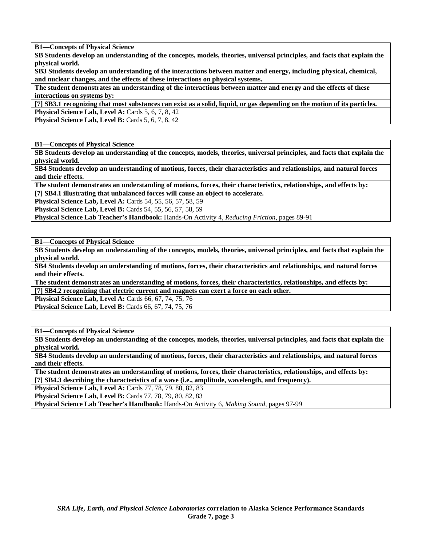**B1—Concepts of Physical Science** 

**SB Students develop an understanding of the concepts, models, theories, universal principles, and facts that explain the physical world.** 

**SB3 Students develop an understanding of the interactions between matter and energy, including physical, chemical, and nuclear changes, and the effects of these interactions on physical systems.** 

**The student demonstrates an understanding of the interactions between matter and energy and the effects of these interactions on systems by:** 

**[7] SB3.1 recognizing that most substances can exist as a solid, liquid, or gas depending on the motion of its particles. Physical Science Lab, Level A: Cards 5, 6, 7, 8, 42** 

**Physical Science Lab, Level B:** Cards 5, 6, 7, 8, 42

**B1—Concepts of Physical Science** 

**SB Students develop an understanding of the concepts, models, theories, universal principles, and facts that explain the physical world.** 

**SB4 Students develop an understanding of motions, forces, their characteristics and relationships, and natural forces and their effects.** 

**The student demonstrates an understanding of motions, forces, their characteristics, relationships, and effects by: [7] SB4.1 illustrating that unbalanced forces will cause an object to accelerate.** 

**Physical Science Lab, Level A:** Cards 54, 55, 56, 57, 58, 59

**Physical Science Lab, Level B:** Cards 54, 55, 56, 57, 58, 59

**Physical Science Lab Teacher's Handbook:** Hands-On Activity 4, *Reducing Friction,* pages 89-91

**B1—Concepts of Physical Science** 

**SB Students develop an understanding of the concepts, models, theories, universal principles, and facts that explain the physical world.** 

**SB4 Students develop an understanding of motions, forces, their characteristics and relationships, and natural forces and their effects.** 

**The student demonstrates an understanding of motions, forces, their characteristics, relationships, and effects by: [7] SB4.2 recognizing that electric current and magnets can exert a force on each other.** 

**Physical Science Lab, Level A:** Cards 66, 67, 74, 75, 76

**Physical Science Lab, Level B:** Cards 66, 67, 74, 75, 76

**B1—Concepts of Physical Science** 

**SB Students develop an understanding of the concepts, models, theories, universal principles, and facts that explain the physical world.** 

**SB4 Students develop an understanding of motions, forces, their characteristics and relationships, and natural forces and their effects.** 

**The student demonstrates an understanding of motions, forces, their characteristics, relationships, and effects by: [7] SB4.3 describing the characteristics of a wave (i.e., amplitude, wavelength, and frequency).** 

**Physical Science Lab, Level A:** Cards 77, 78, 79, 80, 82, 83

**Physical Science Lab, Level B:** Cards 77, 78, 79, 80, 82, 83

**Physical Science Lab Teacher's Handbook:** Hands-On Activity 6, *Making Sound,* pages 97-99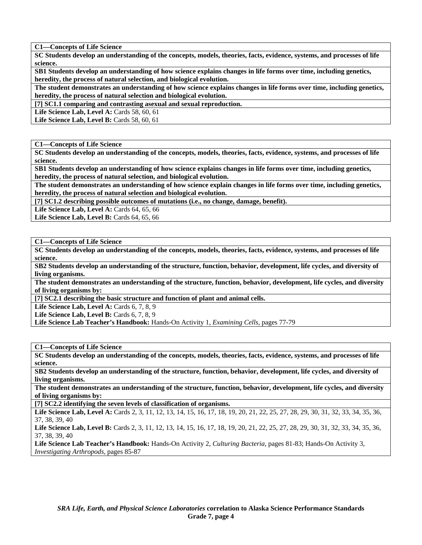**C1—Concepts of Life Science** 

**SC Students develop an understanding of the concepts, models, theories, facts, evidence, systems, and processes of life science.** 

**SB1 Students develop an understanding of how science explains changes in life forms over time, including genetics, heredity, the process of natural selection, and biological evolution.** 

**The student demonstrates an understanding of how science explains changes in life forms over time, including genetics, heredity, the process of natural selection and biological evolution.** 

**[7] SC1.1 comparing and contrasting asexual and sexual reproduction.** 

**Life Science Lab, Level A: Cards 58, 60, 61** 

**Life Science Lab, Level B: Cards 58, 60, 61** 

**C1—Concepts of Life Science** 

**SC Students develop an understanding of the concepts, models, theories, facts, evidence, systems, and processes of life science.** 

**SB1 Students develop an understanding of how science explains changes in life forms over time, including genetics, heredity, the process of natural selection, and biological evolution.** 

**The student demonstrates an understanding of how science explain changes in life forms over time, including genetics, heredity, the process of natural selection and biological evolution.** 

**[7] SC1.2 describing possible outcomes of mutations (i.e., no change, damage, benefit).** 

**Life Science Lab, Level A: Cards 64, 65, 66** 

Life Science Lab, Level B: Cards 64, 65, 66

**C1—Concepts of Life Science** 

**SC Students develop an understanding of the concepts, models, theories, facts, evidence, systems, and processes of life science.** 

**SB2 Students develop an understanding of the structure, function, behavior, development, life cycles, and diversity of living organisms.** 

**The student demonstrates an understanding of the structure, function, behavior, development, life cycles, and diversity of living organisms by:** 

**[7] SC2.1 describing the basic structure and function of plant and animal cells.** 

Life Science Lab, Level A: Cards 6, 7, 8, 9

**Life Science Lab, Level B:** Cards 6, 7, 8, 9

**Life Science Lab Teacher's Handbook:** Hands-On Activity 1, *Examining Cells,* pages 77-79

**C1—Concepts of Life Science** 

**SC Students develop an understanding of the concepts, models, theories, facts, evidence, systems, and processes of life science.** 

**SB2 Students develop an understanding of the structure, function, behavior, development, life cycles, and diversity of living organisms.** 

**The student demonstrates an understanding of the structure, function, behavior, development, life cycles, and diversity of living organisms by:** 

**[7] SC2.2 identifying the seven levels of classification of organisms.** 

Life Science Lab, Level A: Cards 2, 3, 11, 12, 13, 14, 15, 16, 17, 18, 19, 20, 21, 22, 25, 27, 28, 29, 30, 31, 32, 33, 34, 35, 36, 37, 38, 39, 40

Life Science Lab, Level B: Cards 2, 3, 11, 12, 13, 14, 15, 16, 17, 18, 19, 20, 21, 22, 25, 27, 28, 29, 30, 31, 32, 33, 34, 35, 36, 37, 38, 39, 40

**Life Science Lab Teacher's Handbook:** Hands-On Activity 2, *Culturing Bacteria,* pages 81-83; Hands-On Activity 3, *Investigating Arthropods,* pages 85-87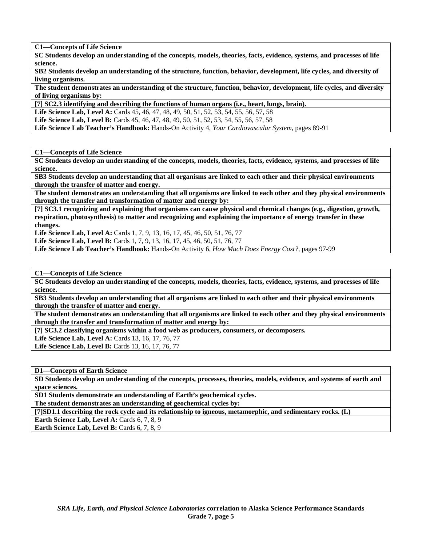**C1—Concepts of Life Science** 

**SC Students develop an understanding of the concepts, models, theories, facts, evidence, systems, and processes of life science.** 

**SB2 Students develop an understanding of the structure, function, behavior, development, life cycles, and diversity of living organisms.** 

**The student demonstrates an understanding of the structure, function, behavior, development, life cycles, and diversity of living organisms by:** 

**[7] SC2.3 identifying and describing the functions of human organs (i.e., heart, lungs, brain).** 

**Life Science Lab, Level A:** Cards 45, 46, 47, 48, 49, 50, 51, 52, 53, 54, 55, 56, 57, 58

**Life Science Lab, Level B:** Cards 45, 46, 47, 48, 49, 50, 51, 52, 53, 54, 55, 56, 57, 58

**Life Science Lab Teacher's Handbook:** Hands-On Activity 4, *Your Cardiovascular System,* pages 89-91

**C1—Concepts of Life Science** 

**SC Students develop an understanding of the concepts, models, theories, facts, evidence, systems, and processes of life science.** 

**SB3 Students develop an understanding that all organisms are linked to each other and their physical environments through the transfer of matter and energy.** 

**The student demonstrates an understanding that all organisms are linked to each other and they physical environments through the transfer and transformation of matter and energy by:** 

**[7] SC3.1 recognizing and explaining that organisms can cause physical and chemical changes (e.g., digestion, growth, respiration, photosynthesis) to matter and recognizing and explaining the importance of energy transfer in these changes.** 

Life Science Lab, Level A: Cards 1, 7, 9, 13, 16, 17, 45, 46, 50, 51, 76, 77

**Life Science Lab, Level B:** Cards 1, 7, 9, 13, 16, 17, 45, 46, 50, 51, 76, 77

**Life Science Lab Teacher's Handbook:** Hands-On Activity 6, *How Much Does Energy Cost?,* pages 97-99

**C1—Concepts of Life Science** 

**SC Students develop an understanding of the concepts, models, theories, facts, evidence, systems, and processes of life science.** 

**SB3 Students develop an understanding that all organisms are linked to each other and their physical environments through the transfer of matter and energy.** 

**The student demonstrates an understanding that all organisms are linked to each other and they physical environments through the transfer and transformation of matter and energy by:** 

**[7] SC3.2 classifying organisms within a food web as producers, consumers, or decomposers.** 

**Life Science Lab, Level A: Cards 13, 16, 17, 76, 77 Life Science Lab, Level B: Cards 13, 16, 17, 76, 77** 

**D1—Concepts of Earth Science** 

**SD Students develop an understanding of the concepts, processes, theories, models, evidence, and systems of earth and space sciences.** 

**SD1 Students demonstrate an understanding of Earth's geochemical cycles.** 

**The student demonstrates an understanding of geochemical cycles by:** 

**[7]SD1.1 describing the rock cycle and its relationship to igneous, metamorphic, and sedimentary rocks. (L)** 

**Earth Science Lab, Level A: Cards 6, 7, 8, 9** 

**Earth Science Lab, Level B: Cards 6, 7, 8, 9**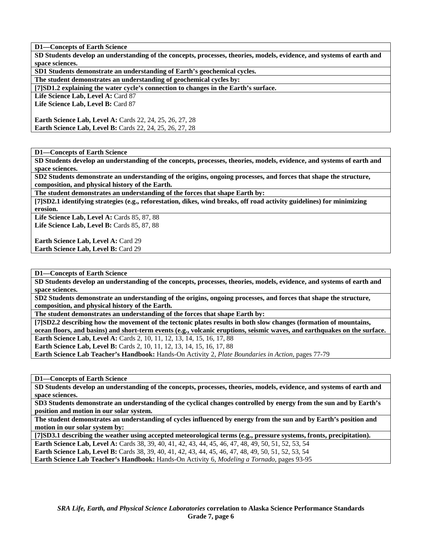**SD Students develop an understanding of the concepts, processes, theories, models, evidence, and systems of earth and space sciences.** 

**SD1 Students demonstrate an understanding of Earth's geochemical cycles.** 

**The student demonstrates an understanding of geochemical cycles by:** 

**[7]SD1.2 explaining the water cycle's connection to changes in the Earth's surface.** 

Life Science Lab, Level A: Card 87

**Life Science Lab, Level B:** Card 87

**Earth Science Lab, Level A:** Cards 22, 24, 25, 26, 27, 28 **Earth Science Lab, Level B:** Cards 22, 24, 25, 26, 27, 28

**D1—Concepts of Earth Science** 

**SD Students develop an understanding of the concepts, processes, theories, models, evidence, and systems of earth and space sciences.** 

**SD2 Students demonstrate an understanding of the origins, ongoing processes, and forces that shape the structure, composition, and physical history of the Earth.** 

**The student demonstrates an understanding of the forces that shape Earth by:** 

**[7]SD2.1 identifying strategies (e.g., reforestation, dikes, wind breaks, off road activity guidelines) for minimizing erosion.** 

**Life Science Lab, Level A:** Cards 85, 87, 88 **Life Science Lab, Level B: Cards 85, 87, 88** 

**Earth Science Lab, Level A: Card 29 Earth Science Lab, Level B:** Card 29

**D1—Concepts of Earth Science** 

**SD Students develop an understanding of the concepts, processes, theories, models, evidence, and systems of earth and space sciences.** 

**SD2 Students demonstrate an understanding of the origins, ongoing processes, and forces that shape the structure, composition, and physical history of the Earth.** 

**The student demonstrates an understanding of the forces that shape Earth by:** 

**[7]SD2.2 describing how the movement of the tectonic plates results in both slow changes (formation of mountains, ocean floors, and basins) and short-term events (e.g., volcanic eruptions, seismic waves, and earthquakes on the surface. Earth Science Lab, Level A: Cards 2, 10, 11, 12, 13, 14, 15, 16, 17, 88** 

**Earth Science Lab, Level B:** Cards 2, 10, 11, 12, 13, 14, 15, 16, 17, 88

**Earth Science Lab Teacher's Handbook:** Hands-On Activity 2, *Plate Boundaries in Action,* pages 77-79

**D1—Concepts of Earth Science** 

**SD Students develop an understanding of the concepts, processes, theories, models, evidence, and systems of earth and space sciences.** 

**SD3 Students demonstrate an understanding of the cyclical changes controlled by energy from the sun and by Earth's position and motion in our solar system.** 

**The student demonstrates an understanding of cycles influenced by energy from the sun and by Earth's position and motion in our solar system by:** 

**[7]SD3.1 describing the weather using accepted meteorological terms (e.g., pressure systems, fronts, precipitation).** 

**Earth Science Lab, Level A:** Cards 38, 39, 40, 41, 42, 43, 44, 45, 46, 47, 48, 49, 50, 51, 52, 53, 54 **Earth Science Lab, Level B:** Cards 38, 39, 40, 41, 42, 43, 44, 45, 46, 47, 48, 49, 50, 51, 52, 53, 54

**Earth Science Lab Teacher's Handbook:** Hands-On Activity 6, *Modeling a Tornado,* pages 93-95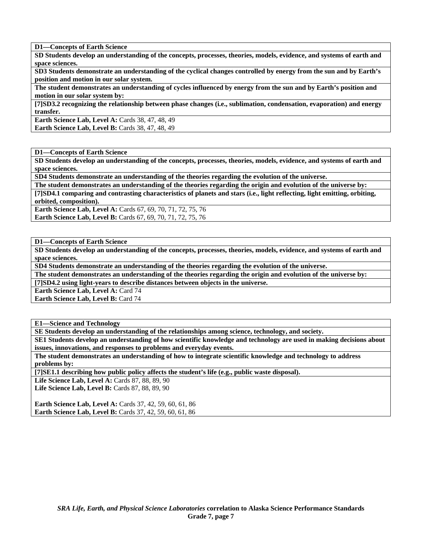**SD Students develop an understanding of the concepts, processes, theories, models, evidence, and systems of earth and space sciences.** 

**SD3 Students demonstrate an understanding of the cyclical changes controlled by energy from the sun and by Earth's position and motion in our solar system.** 

**The student demonstrates an understanding of cycles influenced by energy from the sun and by Earth's position and motion in our solar system by:** 

**[7]SD3.2 recognizing the relationship between phase changes (i.e., sublimation, condensation, evaporation) and energy transfer.** 

**Earth Science Lab, Level A: Cards 38, 47, 48, 49 Earth Science Lab, Level B: Cards 38, 47, 48, 49** 

**D1—Concepts of Earth Science** 

**SD Students develop an understanding of the concepts, processes, theories, models, evidence, and systems of earth and space sciences.** 

**SD4 Students demonstrate an understanding of the theories regarding the evolution of the universe.** 

**The student demonstrates an understanding of the theories regarding the origin and evolution of the universe by:** 

**[7]SD4.1 comparing and contrasting characteristics of planets and stars (i.e., light reflecting, light emitting, orbiting, orbited, composition).** 

**Earth Science Lab, Level A:** Cards 67, 69, 70, 71, 72, 75, 76 **Earth Science Lab, Level B:** Cards 67, 69, 70, 71, 72, 75, 76

**D1—Concepts of Earth Science** 

**SD Students develop an understanding of the concepts, processes, theories, models, evidence, and systems of earth and space sciences.** 

**SD4 Students demonstrate an understanding of the theories regarding the evolution of the universe.** 

**The student demonstrates an understanding of the theories regarding the origin and evolution of the universe by:** 

**[7]SD4.2 using light-years to describe distances between objects in the universe.** 

**Earth Science Lab, Level A: Card 74** 

**Earth Science Lab, Level B: Card 74** 

**E1—Science and Technology** 

**SE Students develop an understanding of the relationships among science, technology, and society.** 

**SE1 Students develop an understanding of how scientific knowledge and technology are used in making decisions about issues, innovations, and responses to problems and everyday events.** 

**The student demonstrates an understanding of how to integrate scientific knowledge and technology to address problems by:** 

**[7]SE1.1 describing how public policy affects the student's life (e.g., public waste disposal).** 

Life Science Lab, Level A: Cards 87, 88, 89, 90

**Life Science Lab, Level B: Cards 87, 88, 89, 90** 

**Earth Science Lab, Level A: Cards 37, 42, 59, 60, 61, 86 Earth Science Lab, Level B:** Cards 37, 42, 59, 60, 61, 86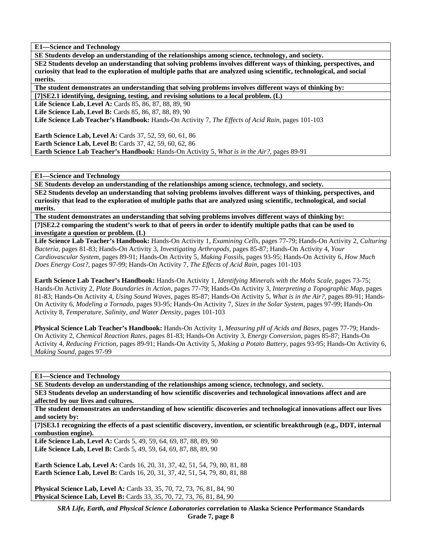**E1—Science and Technology** 

**SE Students develop an understanding of the relationships among science, technology, and society. SE2 Students develop an understanding that solving problems involves different ways of thinking, perspectives, and curiosity that lead to the exploration of multiple paths that are analyzed using scientific, technological, and social merits.** 

**The student demonstrates an understanding that solving problems involves different ways of thinking by:** 

**[7]SE2.1 identifying, designing, testing, and revising solutions to a local problem. (L)** 

**Life Science Lab, Level A: Cards 85, 86, 87, 88, 89, 90** 

**Life Science Lab, Level B: Cards 85, 86, 87, 88, 89, 90** 

**Life Science Lab Teacher's Handbook:** Hands-On Activity 7, *The Effects of Acid Rain,* pages 101-103

**Earth Science Lab, Level A: Cards 37, 52, 59, 60, 61, 86 Earth Science Lab, Level B:** Cards 37, 42, 59, 60, 62, 86 **Earth Science Lab Teacher's Handbook:** Hands-On Activity 5, *What is in the Air?,* pages 89-91

**E1—Science and Technology** 

**SE Students develop an understanding of the relationships among science, technology, and society.** 

**SE2 Students develop an understanding that solving problems involves different ways of thinking, perspectives, and curiosity that lead to the exploration of multiple paths that are analyzed using scientific, technological, and social merits.** 

**The student demonstrates an understanding that solving problems involves different ways of thinking by: [7]SE2.2 comparing the student's work to that of peers in order to identify multiple paths that can be used to investigate a question or problem. (L)** 

**Life Science Lab Teacher's Handbook:** Hands-On Activity 1, *Examining Cells,* pages 77-79; Hands-On Activity 2, *Culturing Bacteria,* pages 81-83; Hands-On Activity 3, *Investigating Arthropods,* pages 85-87; Hands-On Activity 4, *Your Cardiovascular System,* pages 89-91; Hands-On Activity 5, *Making Fossils,* pages 93-95; Hands-On Activity 6, *How Much Does Energy Cost?,* pages 97-99; Hands-On Activity 7, *The Effects of Acid Rain,* pages 101-103

**Earth Science Lab Teacher's Handbook:** Hands-On Activity 1, *Identifying Minerals with the Mohs Scale,* pages 73-75; Hands-On Activity 2, *Plate Boundaries in Action,* pages 77-79; Hands-On Activity 3, *Interpreting a Topographic Map,* pages 81-83; Hands-On Activity 4, *Using Sound Waves,* pages 85-87; Hands-On Activity 5, *What is in the Air?,* pages 89-91; Hands-On Activity 6, *Modeling a Tornado,* pages 93-95; Hands-On Activity 7, *Sizes in the Solar System,* pages 97-99; Hands-On Activity 8, *Temperature, Salinity, and Water Density,* pages 101-103

**Physical Science Lab Teacher's Handbook:** Hands-On Activity 1, *Measuring pH of Acids and Bases,* pages 77-79; Hands-On Activity 2, *Chemical Reaction Rates,* pages 81-83; Hands-On Activity 3, *Energy Conversion,* pages 85-87; Hands-On Activity 4, *Reducing Friction,* pages 89-91; Hands-On Activity 5, *Making a Potato Battery,* pages 93-95; Hands-On Activity 6, *Making Sound,* pages 97-99

**E1—Science and Technology** 

**SE Students develop an understanding of the relationships among science, technology, and society.** 

**SE3 Students develop an understanding of how scientific discoveries and technological innovations affect and are affected by our lives and cultures.** 

**The student demonstrates an understanding of how scientific discoveries and technological innovations affect our lives and society by:** 

**[7]SE3.1 recognizing the effects of a past scientific discovery, invention, or scientific breakthrough (e.g., DDT, internal combustion engine).** 

**Life Science Lab, Level A: Cards 5, 49, 59, 64, 69, 87, 88, 89, 90 Life Science Lab, Level B:** Cards 5, 49, 59, 64, 69, 87, 88, 89, 90

**Earth Science Lab, Level A: Cards 16, 20, 31, 37, 42, 51, 54, 79, 80, 81, 88 Earth Science Lab, Level B:** Cards 16, 20, 31, 37, 42, 51, 54, 79, 80, 81, 88

**Physical Science Lab, Level A: Cards 33, 35, 70, 72, 73, 76, 81, 84, 90 Physical Science Lab, Level B:** Cards 33, 35, 70, 72, 73, 76, 81, 84, 90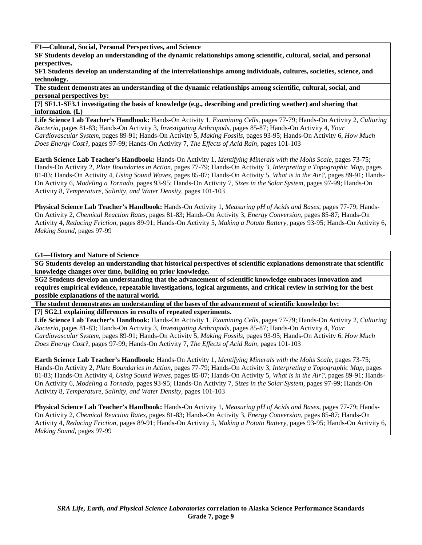**F1—Cultural, Social, Personal Perspectives, and Science** 

**SF Students develop an understanding of the dynamic relationships among scientific, cultural, social, and personal perspectives.** 

**SF1 Students develop an understanding of the interrelationships among individuals, cultures, societies, science, and technology.** 

**The student demonstrates an understanding of the dynamic relationships among scientific, cultural, social, and personal perspectives by:** 

**[7] SF1.1-SF3.1 investigating the basis of knowledge (e.g., describing and predicting weather) and sharing that information. (L)** 

**Life Science Lab Teacher's Handbook:** Hands-On Activity 1, *Examining Cells,* pages 77-79; Hands-On Activity 2, *Culturing Bacteria,* pages 81-83; Hands-On Activity 3, *Investigating Arthropods,* pages 85-87; Hands-On Activity 4, *Your Cardiovascular System,* pages 89-91; Hands-On Activity 5, *Making Fossils,* pages 93-95; Hands-On Activity 6, *How Much Does Energy Cost?,* pages 97-99; Hands-On Activity 7, *The Effects of Acid Rain,* pages 101-103

**Earth Science Lab Teacher's Handbook:** Hands-On Activity 1, *Identifying Minerals with the Mohs Scale,* pages 73-75; Hands-On Activity 2, *Plate Boundaries in Action,* pages 77-79; Hands-On Activity 3, *Interpreting a Topographic Map,* pages 81-83; Hands-On Activity 4, *Using Sound Waves,* pages 85-87; Hands-On Activity 5, *What is in the Air?,* pages 89-91; Hands-On Activity 6, *Modeling a Tornado,* pages 93-95; Hands-On Activity 7, *Sizes in the Solar System,* pages 97-99; Hands-On Activity 8, *Temperature, Salinity, and Water Density,* pages 101-103

**Physical Science Lab Teacher's Handbook:** Hands-On Activity 1, *Measuring pH of Acids and Bases,* pages 77-79; Hands-On Activity 2, *Chemical Reaction Rates,* pages 81-83; Hands-On Activity 3, *Energy Conversion,* pages 85-87; Hands-On Activity 4, *Reducing Friction,* pages 89-91; Hands-On Activity 5, *Making a Potato Battery,* pages 93-95; Hands-On Activity 6, *Making Sound,* pages 97-99

**G1—History and Nature of Science** 

**SG Students develop an understanding that historical perspectives of scientific explanations demonstrate that scientific knowledge changes over time, building on prior knowledge.** 

**SG2 Students develop an understanding that the advancement of scientific knowledge embraces innovation and requires empirical evidence, repeatable investigations, logical arguments, and critical review in striving for the best possible explanations of the natural world.** 

**The student demonstrates an understanding of the bases of the advancement of scientific knowledge by: [7] SG2.1 explaining differences in results of repeated experiments.** 

**Life Science Lab Teacher's Handbook:** Hands-On Activity 1, *Examining Cells,* pages 77-79; Hands-On Activity 2, *Culturing Bacteria,* pages 81-83; Hands-On Activity 3, *Investigating Arthropods,* pages 85-87; Hands-On Activity 4, *Your Cardiovascular System,* pages 89-91; Hands-On Activity 5, *Making Fossils,* pages 93-95; Hands-On Activity 6, *How Much Does Energy Cost?,* pages 97-99; Hands-On Activity 7, *The Effects of Acid Rain,* pages 101-103

**Earth Science Lab Teacher's Handbook:** Hands-On Activity 1, *Identifying Minerals with the Mohs Scale,* pages 73-75; Hands-On Activity 2, *Plate Boundaries in Action,* pages 77-79; Hands-On Activity 3, *Interpreting a Topographic Map,* pages 81-83; Hands-On Activity 4, *Using Sound Waves,* pages 85-87; Hands-On Activity 5, *What is in the Air?,* pages 89-91; Hands-On Activity 6, *Modeling a Tornado,* pages 93-95; Hands-On Activity 7, *Sizes in the Solar System,* pages 97-99; Hands-On Activity 8, *Temperature, Salinity, and Water Density,* pages 101-103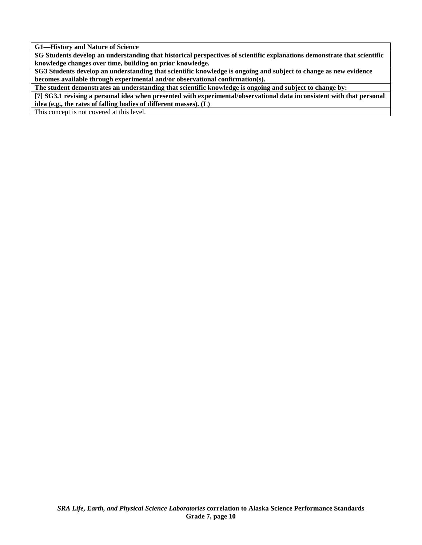**G1—History and Nature of Science** 

**SG Students develop an understanding that historical perspectives of scientific explanations demonstrate that scientific knowledge changes over time, building on prior knowledge.** 

**SG3 Students develop an understanding that scientific knowledge is ongoing and subject to change as new evidence becomes available through experimental and/or observational confirmation(s).** 

**The student demonstrates an understanding that scientific knowledge is ongoing and subject to change by:** 

**[7] SG3.1 revising a personal idea when presented with experimental/observational data inconsistent with that personal idea (e.g., the rates of falling bodies of different masses). (L)** 

This concept is not covered at this level.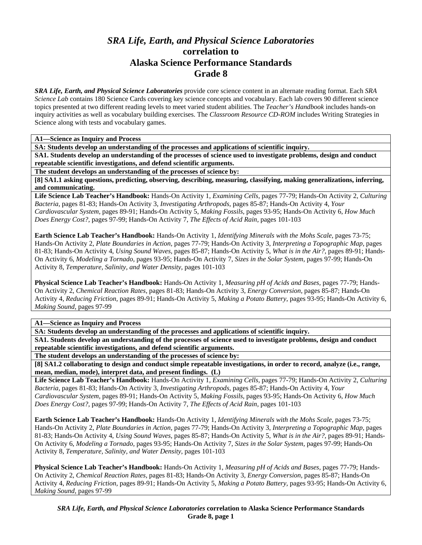## *SRA Life, Earth, and Physical Science Laboratories*  **correlation to Alaska Science Performance Standards Grade 8**

*SRA Life, Earth, and Physical Science Laboratories* provide core science content in an alternate reading format. Each *SRA Science Lab* contains 180 Science Cards covering key science concepts and vocabulary. Each lab covers 90 different science topics presented at two different reading levels to meet varied student abilities. The *Teacher's Handbook* includes hands-on inquiry activities as well as vocabulary building exercises. The *Classroom Resource CD-ROM* includes Writing Strategies in Science along with tests and vocabulary games.

**A1—Science as Inquiry and Process** 

**SA: Students develop an understanding of the processes and applications of scientific inquiry.** 

**SA1. Students develop an understanding of the processes of science used to investigate problems, design and conduct repeatable scientific investigations, and defend scientific arguments.** 

**The student develops an understanding of the processes of science by:** 

**[8] SA1.1 asking questions, predicting, observing, describing, measuring, classifying, making generalizations, inferring, and communicating.** 

**Life Science Lab Teacher's Handbook:** Hands-On Activity 1, *Examining Cells,* pages 77-79; Hands-On Activity 2, *Culturing Bacteria,* pages 81-83; Hands-On Activity 3, *Investigating Arthropods,* pages 85-87; Hands-On Activity 4, *Your Cardiovascular System,* pages 89-91; Hands-On Activity 5, *Making Fossils,* pages 93-95; Hands-On Activity 6, *How Much Does Energy Cost?,* pages 97-99; Hands-On Activity 7, *The Effects of Acid Rain,* pages 101-103

**Earth Science Lab Teacher's Handbook:** Hands-On Activity 1, *Identifying Minerals with the Mohs Scale,* pages 73-75; Hands-On Activity 2, *Plate Boundaries in Action,* pages 77-79; Hands-On Activity 3, *Interpreting a Topographic Map,* pages 81-83; Hands-On Activity 4, *Using Sound Waves,* pages 85-87; Hands-On Activity 5, *What is in the Air?,* pages 89-91; Hands-On Activity 6, *Modeling a Tornado,* pages 93-95; Hands-On Activity 7, *Sizes in the Solar System,* pages 97-99; Hands-On Activity 8, *Temperature, Salinity, and Water Density,* pages 101-103

**Physical Science Lab Teacher's Handbook:** Hands-On Activity 1, *Measuring pH of Acids and Bases,* pages 77-79; Hands-On Activity 2, *Chemical Reaction Rates,* pages 81-83; Hands-On Activity 3, *Energy Conversion,* pages 85-87; Hands-On Activity 4, *Reducing Friction,* pages 89-91; Hands-On Activity 5, *Making a Potato Battery,* pages 93-95; Hands-On Activity 6, *Making Sound,* pages 97-99

**A1—Science as Inquiry and Process** 

**SA: Students develop an understanding of the processes and applications of scientific inquiry.** 

**SA1. Students develop an understanding of the processes of science used to investigate problems, design and conduct repeatable scientific investigations, and defend scientific arguments.** 

**The student develops an understanding of the processes of science by:** 

**[8] SA1.2 collaborating to design and conduct simple repeatable investigations, in order to record, analyze (i.e., range, mean, median, mode), interpret data, and present findings. (L)** 

**Life Science Lab Teacher's Handbook:** Hands-On Activity 1, *Examining Cells,* pages 77-79; Hands-On Activity 2, *Culturing Bacteria,* pages 81-83; Hands-On Activity 3, *Investigating Arthropods,* pages 85-87; Hands-On Activity 4, *Your Cardiovascular System,* pages 89-91; Hands-On Activity 5, *Making Fossils,* pages 93-95; Hands-On Activity 6, *How Much Does Energy Cost?,* pages 97-99; Hands-On Activity 7, *The Effects of Acid Rain,* pages 101-103

**Earth Science Lab Teacher's Handbook:** Hands-On Activity 1, *Identifying Minerals with the Mohs Scale,* pages 73-75; Hands-On Activity 2, *Plate Boundaries in Action,* pages 77-79; Hands-On Activity 3, *Interpreting a Topographic Map,* pages 81-83; Hands-On Activity 4, *Using Sound Waves,* pages 85-87; Hands-On Activity 5, *What is in the Air?,* pages 89-91; Hands-On Activity 6, *Modeling a Tornado,* pages 93-95; Hands-On Activity 7, *Sizes in the Solar System,* pages 97-99; Hands-On Activity 8, *Temperature, Salinity, and Water Density,* pages 101-103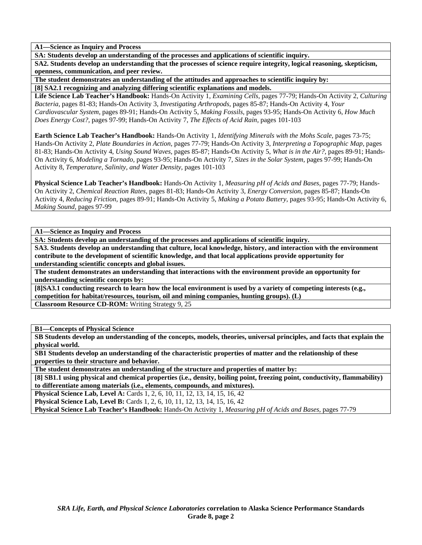**A1—Science as Inquiry and Process** 

**SA: Students develop an understanding of the processes and applications of scientific inquiry.** 

**SA2. Students develop an understanding that the processes of science require integrity, logical reasoning, skepticism, openness, communication, and peer review.** 

**The student demonstrates an understanding of the attitudes and approaches to scientific inquiry by:** 

**[8] SA2.1 recognizing and analyzing differing scientific explanations and models.** 

**Life Science Lab Teacher's Handbook:** Hands-On Activity 1, *Examining Cells,* pages 77-79; Hands-On Activity 2, *Culturing Bacteria,* pages 81-83; Hands-On Activity 3, *Investigating Arthropods,* pages 85-87; Hands-On Activity 4, *Your Cardiovascular System,* pages 89-91; Hands-On Activity 5, *Making Fossils,* pages 93-95; Hands-On Activity 6, *How Much Does Energy Cost?,* pages 97-99; Hands-On Activity 7, *The Effects of Acid Rain,* pages 101-103

**Earth Science Lab Teacher's Handbook:** Hands-On Activity 1, *Identifying Minerals with the Mohs Scale,* pages 73-75; Hands-On Activity 2, *Plate Boundaries in Action,* pages 77-79; Hands-On Activity 3, *Interpreting a Topographic Map,* pages 81-83; Hands-On Activity 4, *Using Sound Waves,* pages 85-87; Hands-On Activity 5, *What is in the Air?,* pages 89-91; Hands-On Activity 6, *Modeling a Tornado,* pages 93-95; Hands-On Activity 7, *Sizes in the Solar System,* pages 97-99; Hands-On Activity 8, *Temperature, Salinity, and Water Density,* pages 101-103

**Physical Science Lab Teacher's Handbook:** Hands-On Activity 1, *Measuring pH of Acids and Bases,* pages 77-79; Hands-On Activity 2, *Chemical Reaction Rates,* pages 81-83; Hands-On Activity 3, *Energy Conversion,* pages 85-87; Hands-On Activity 4, *Reducing Friction,* pages 89-91; Hands-On Activity 5, *Making a Potato Battery,* pages 93-95; Hands-On Activity 6, *Making Sound,* pages 97-99

## **A1—Science as Inquiry and Process**

**SA: Students develop an understanding of the processes and applications of scientific inquiry.** 

**SA3. Students develop an understanding that culture, local knowledge, history, and interaction with the environment contribute to the development of scientific knowledge, and that local applications provide opportunity for understanding scientific concepts and global issues.** 

**The student demonstrates an understanding that interactions with the environment provide an opportunity for understanding scientific concepts by:** 

**[8]SA3.1 conducting research to learn how the local environment is used by a variety of competing interests (e.g., competition for habitat/resources, tourism, oil and mining companies, hunting groups). (L) Classroom Resource CD-ROM:** Writing Strategy 9, 25

**B1—Concepts of Physical Science** 

**SB Students develop an understanding of the concepts, models, theories, universal principles, and facts that explain the physical world.** 

**SB1 Students develop an understanding of the characteristic properties of matter and the relationship of these properties to their structure and behavior.** 

**The student demonstrates an understanding of the structure and properties of matter by:** 

**[8] SB1.1 using physical and chemical properties (i.e., density, boiling point, freezing point, conductivity, flammability) to differentiate among materials (i.e., elements, compounds, and mixtures).** 

**Physical Science Lab, Level A:** Cards 1, 2, 6, 10, 11, 12, 13, 14, 15, 16, 42

**Physical Science Lab, Level B:** Cards 1, 2, 6, 10, 11, 12, 13, 14, 15, 16, 42

**Physical Science Lab Teacher's Handbook:** Hands-On Activity 1, *Measuring pH of Acids and Bases,* pages 77-79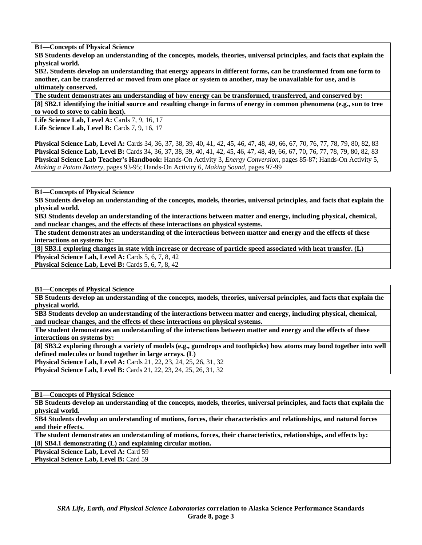**B1—Concepts of Physical Science** 

**SB Students develop an understanding of the concepts, models, theories, universal principles, and facts that explain the physical world.** 

**SB2. Students develop an understanding that energy appears in different forms, can be transformed from one form to another, can be transferred or moved from one place or system to another, may be unavailable for use, and is ultimately conserved.** 

**The student demonstrates am understanding of how energy can be transformed, transferred, and conserved by: [8] SB2.1 identifying the initial source and resulting change in forms of energy in common phenomena (e.g., sun to tree to wood to stove to cabin heat).** 

**Life Science Lab, Level A: Cards 7, 9, 16, 17 Life Science Lab, Level B: Cards 7, 9, 16, 17** 

**Physical Science Lab, Level A:** Cards 34, 36, 37, 38, 39, 40, 41, 42, 45, 46, 47, 48, 49, 66, 67, 70, 76, 77, 78, 79, 80, 82, 83 **Physical Science Lab, Level B:** Cards 34, 36, 37, 38, 39, 40, 41, 42, 45, 46, 47, 48, 49, 66, 67, 70, 76, 77, 78, 79, 80, 82, 83 **Physical Science Lab Teacher's Handbook:** Hands-On Activity 3, *Energy Conversion,* pages 85-87; Hands-On Activity 5, *Making a Potato Battery,* pages 93-95; Hands-On Activity 6, *Making Sound,* pages 97-99

**B1—Concepts of Physical Science** 

**SB Students develop an understanding of the concepts, models, theories, universal principles, and facts that explain the physical world.** 

**SB3 Students develop an understanding of the interactions between matter and energy, including physical, chemical, and nuclear changes, and the effects of these interactions on physical systems.** 

**The student demonstrates an understanding of the interactions between matter and energy and the effects of these interactions on systems by:** 

**[8] SB3.1 exploring changes in state with increase or decrease of particle speed associated with heat transfer. (L)** 

**Physical Science Lab, Level A: Cards 5, 6, 7, 8, 42** 

**Physical Science Lab, Level B:** Cards 5, 6, 7, 8, 42

**B1—Concepts of Physical Science** 

**SB Students develop an understanding of the concepts, models, theories, universal principles, and facts that explain the physical world.** 

**SB3 Students develop an understanding of the interactions between matter and energy, including physical, chemical, and nuclear changes, and the effects of these interactions on physical systems.** 

**The student demonstrates an understanding of the interactions between matter and energy and the effects of these interactions on systems by:** 

**[8] SB3.2 exploring through a variety of models (e.g., gumdrops and toothpicks) how atoms may bond together into well defined molecules or bond together in large arrays. (L)** 

**Physical Science Lab, Level A:** Cards 21, 22, 23, 24, 25, 26, 31, 32 **Physical Science Lab, Level B:** Cards 21, 22, 23, 24, 25, 26, 31, 32

**B1—Concepts of Physical Science** 

**SB Students develop an understanding of the concepts, models, theories, universal principles, and facts that explain the physical world.** 

**SB4 Students develop an understanding of motions, forces, their characteristics and relationships, and natural forces and their effects.** 

**The student demonstrates an understanding of motions, forces, their characteristics, relationships, and effects by:** 

**[8] SB4.1 demonstrating (L) and explaining circular motion.** 

**Physical Science Lab, Level A: Card 59** 

**Physical Science Lab, Level B: Card 59**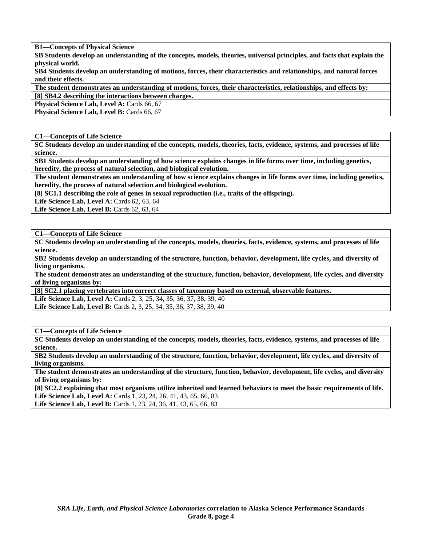**B1—Concepts of Physical Science** 

**SB Students develop an understanding of the concepts, models, theories, universal principles, and facts that explain the physical world.** 

**SB4 Students develop an understanding of motions, forces, their characteristics and relationships, and natural forces and their effects.** 

**The student demonstrates an understanding of motions, forces, their characteristics, relationships, and effects by: [8] SB4.2 describing the interactions between charges.** 

**Physical Science Lab, Level A: Cards 66, 67** 

**Physical Science Lab, Level B: Cards 66, 67** 

**C1—Concepts of Life Science** 

**SC Students develop an understanding of the concepts, models, theories, facts, evidence, systems, and processes of life science.** 

**SB1 Students develop an understanding of how science explains changes in life forms over time, including genetics, heredity, the process of natural selection, and biological evolution.** 

**The student demonstrates an understanding of how science explains changes in life forms over time, including genetics, heredity, the process of natural selection and biological evolution.** 

**[8] SC1.1 describing the role of genes in sexual reproduction (i.e., traits of the offspring).** 

Life Science Lab, Level A: Cards 62, 63, 64

**Life Science Lab, Level B: Cards 62, 63, 64** 

**C1—Concepts of Life Science** 

**SC Students develop an understanding of the concepts, models, theories, facts, evidence, systems, and processes of life science.** 

**SB2 Students develop an understanding of the structure, function, behavior, development, life cycles, and diversity of living organisms.** 

**The student demonstrates an understanding of the structure, function, behavior, development, life cycles, and diversity of living organisms by:** 

**[8] SC2.1 placing vertebrates into correct classes of taxonomy based on external, observable features.** 

Life Science Lab, Level A: Cards 2, 3, 25, 34, 35, 36, 37, 38, 39, 40

**Life Science Lab, Level B:** Cards 2, 3, 25, 34, 35, 36, 37, 38, 39, 40

**C1—Concepts of Life Science** 

**SC Students develop an understanding of the concepts, models, theories, facts, evidence, systems, and processes of life science.** 

**SB2 Students develop an understanding of the structure, function, behavior, development, life cycles, and diversity of living organisms.** 

**The student demonstrates an understanding of the structure, function, behavior, development, life cycles, and diversity of living organisms by:** 

**[8] SC2.2 explaining that most organisms utilize inherited and learned behaviors to meet the basic requirements of life. Life Science Lab, Level A: Cards 1, 23, 24, 26, 41, 43, 65, 66, 83** Life Science Lab, Level B: Cards 1, 23, 24, 36, 41, 43, 65, 66, 83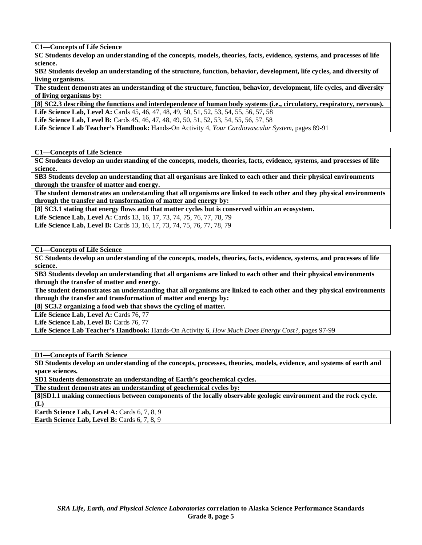**C1—Concepts of Life Science** 

**SC Students develop an understanding of the concepts, models, theories, facts, evidence, systems, and processes of life science.** 

**SB2 Students develop an understanding of the structure, function, behavior, development, life cycles, and diversity of living organisms.** 

**The student demonstrates an understanding of the structure, function, behavior, development, life cycles, and diversity of living organisms by:** 

**[8] SC2.3 describing the functions and interdependence of human body systems (i.e., circulatory, respiratory, nervous). Life Science Lab, Level A:** Cards 45, 46, 47, 48, 49, 50, 51, 52, 53, 54, 55, 56, 57, 58

**Life Science Lab, Level B:** Cards 45, 46, 47, 48, 49, 50, 51, 52, 53, 54, 55, 56, 57, 58

**Life Science Lab Teacher's Handbook:** Hands-On Activity 4, *Your Cardiovascular System,* pages 89-91

**C1—Concepts of Life Science** 

**SC Students develop an understanding of the concepts, models, theories, facts, evidence, systems, and processes of life science.** 

**SB3 Students develop an understanding that all organisms are linked to each other and their physical environments through the transfer of matter and energy.** 

**The student demonstrates an understanding that all organisms are linked to each other and they physical environments through the transfer and transformation of matter and energy by:** 

**[8] SC3.1 stating that energy flows and that matter cycles but is conserved within an ecosystem.** 

**Life Science Lab, Level A:** Cards 13, 16, 17, 73, 74, 75, 76, 77, 78, 79 Life Science Lab, Level B: Cards 13, 16, 17, 73, 74, 75, 76, 77, 78, 79

**C1—Concepts of Life Science** 

**SC Students develop an understanding of the concepts, models, theories, facts, evidence, systems, and processes of life science.** 

**SB3 Students develop an understanding that all organisms are linked to each other and their physical environments through the transfer of matter and energy.** 

**The student demonstrates an understanding that all organisms are linked to each other and they physical environments through the transfer and transformation of matter and energy by:** 

**[8] SC3.2 organizing a food web that shows the cycling of matter.** 

Life Science Lab, Level A: Cards 76, 77

Life Science Lab, Level B: Cards 76, 77

**Life Science Lab Teacher's Handbook:** Hands-On Activity 6, *How Much Does Energy Cost?,* pages 97-99

**D1—Concepts of Earth Science** 

**SD Students develop an understanding of the concepts, processes, theories, models, evidence, and systems of earth and space sciences.** 

**SD1 Students demonstrate an understanding of Earth's geochemical cycles.** 

**The student demonstrates an understanding of geochemical cycles by:** 

**[8]SD1.1 making connections between components of the locally observable geologic environment and the rock cycle. (L)** 

Earth Science Lab, Level A: Cards 6, 7, 8, 9

**Earth Science Lab, Level B:** Cards 6, 7, 8, 9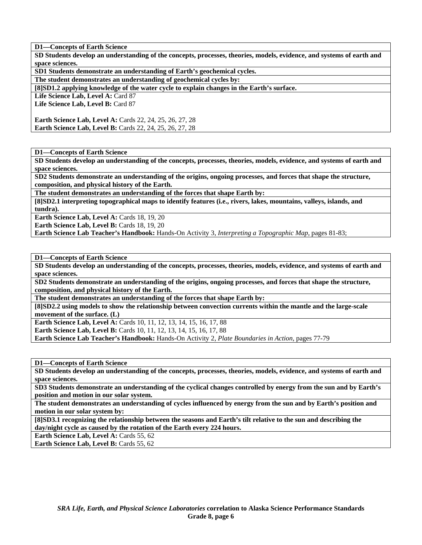**SD Students develop an understanding of the concepts, processes, theories, models, evidence, and systems of earth and space sciences.** 

**SD1 Students demonstrate an understanding of Earth's geochemical cycles.** 

**The student demonstrates an understanding of geochemical cycles by:** 

**[8]SD1.2 applying knowledge of the water cycle to explain changes in the Earth's surface.** 

Life Science Lab, Level A: Card 87

**Life Science Lab, Level B:** Card 87

**Earth Science Lab, Level A:** Cards 22, 24, 25, 26, 27, 28 **Earth Science Lab, Level B:** Cards 22, 24, 25, 26, 27, 28

**D1—Concepts of Earth Science** 

**SD Students develop an understanding of the concepts, processes, theories, models, evidence, and systems of earth and space sciences.** 

**SD2 Students demonstrate an understanding of the origins, ongoing processes, and forces that shape the structure, composition, and physical history of the Earth.** 

**The student demonstrates an understanding of the forces that shape Earth by:** 

**[8]SD2.1 interpreting topographical maps to identify features (i.e., rivers, lakes, mountains, valleys, islands, and tundra).** 

**Earth Science Lab, Level A: Cards 18, 19, 20** 

**Earth Science Lab, Level B: Cards 18, 19, 20** 

**Earth Science Lab Teacher's Handbook:** Hands-On Activity 3, *Interpreting a Topographic Map,* pages 81-83;

**D1—Concepts of Earth Science** 

**SD Students develop an understanding of the concepts, processes, theories, models, evidence, and systems of earth and space sciences.** 

**SD2 Students demonstrate an understanding of the origins, ongoing processes, and forces that shape the structure, composition, and physical history of the Earth.** 

**The student demonstrates an understanding of the forces that shape Earth by:** 

**[8]SD2.2 using models to show the relationship between convection currents within the mantle and the large-scale movement of the surface. (L)** 

**Earth Science Lab, Level A: Cards 10, 11, 12, 13, 14, 15, 16, 17, 88** 

**Earth Science Lab, Level B:** Cards 10, 11, 12, 13, 14, 15, 16, 17, 88

**Earth Science Lab Teacher's Handbook:** Hands-On Activity 2, *Plate Boundaries in Action,* pages 77-79

**D1—Concepts of Earth Science** 

**SD Students develop an understanding of the concepts, processes, theories, models, evidence, and systems of earth and space sciences.** 

**SD3 Students demonstrate an understanding of the cyclical changes controlled by energy from the sun and by Earth's position and motion in our solar system.** 

**The student demonstrates an understanding of cycles influenced by energy from the sun and by Earth's position and motion in our solar system by:** 

**[8]SD3.1 recognizing the relationship between the seasons and Earth's tilt relative to the sun and describing the day/night cycle as caused by the rotation of the Earth every 224 hours.** 

Earth Science Lab, Level A: Cards 55, 62

**Earth Science Lab, Level B: Cards 55, 62**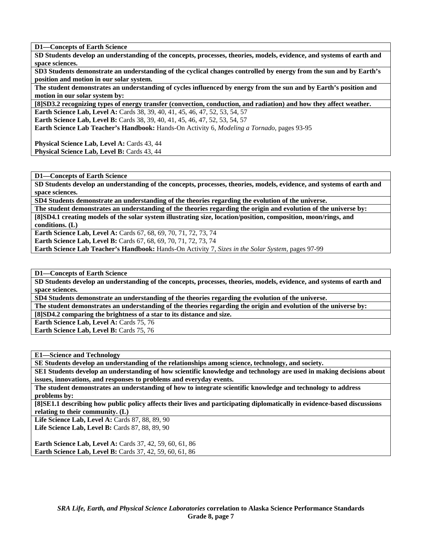**SD Students develop an understanding of the concepts, processes, theories, models, evidence, and systems of earth and space sciences.** 

**SD3 Students demonstrate an understanding of the cyclical changes controlled by energy from the sun and by Earth's position and motion in our solar system.** 

**The student demonstrates an understanding of cycles influenced by energy from the sun and by Earth's position and motion in our solar system by:** 

**[8]SD3.2 recognizing types of energy transfer (convection, conduction, and radiation) and how they affect weather. Earth Science Lab, Level A: Cards 38, 39, 40, 41, 45, 46, 47, 52, 53, 54, 57** 

**Earth Science Lab, Level B:** Cards 38, 39, 40, 41, 45, 46, 47, 52, 53, 54, 57

**Earth Science Lab Teacher's Handbook:** Hands-On Activity 6, *Modeling a Tornado,* pages 93-95

Physical Science Lab, Level A: Cards 43, 44 Physical Science Lab, Level B: Cards 43, 44

**D1—Concepts of Earth Science** 

**SD Students develop an understanding of the concepts, processes, theories, models, evidence, and systems of earth and space sciences.** 

**SD4 Students demonstrate an understanding of the theories regarding the evolution of the universe.** 

**The student demonstrates an understanding of the theories regarding the origin and evolution of the universe by: [8]SD4.1 creating models of the solar system illustrating size, location/position, composition, moon/rings, and** 

**conditions. (L)** 

**Earth Science Lab, Level A:** Cards 67, 68, 69, 70, 71, 72, 73, 74

**Earth Science Lab, Level B:** Cards 67, 68, 69, 70, 71, 72, 73, 74

**Earth Science Lab Teacher's Handbook:** Hands-On Activity 7, *Sizes in the Solar System,* pages 97-99

**D1—Concepts of Earth Science** 

**SD Students develop an understanding of the concepts, processes, theories, models, evidence, and systems of earth and space sciences.** 

**SD4 Students demonstrate an understanding of the theories regarding the evolution of the universe.** 

**The student demonstrates an understanding of the theories regarding the origin and evolution of the universe by:** 

**[8]SD4.2 comparing the brightness of a star to its distance and size.** 

**Earth Science Lab, Level A: Cards 75, 76** 

**Earth Science Lab, Level B: Cards 75, 76** 

**E1—Science and Technology** 

**SE Students develop an understanding of the relationships among science, technology, and society.** 

**SE1 Students develop an understanding of how scientific knowledge and technology are used in making decisions about issues, innovations, and responses to problems and everyday events.** 

**The student demonstrates an understanding of how to integrate scientific knowledge and technology to address problems by:** 

**[8]SE1.1 describing how public policy affects their lives and participating diplomatically in evidence-based discussions relating to their community. (L)** 

**Life Science Lab, Level A: Cards 87, 88, 89, 90** Life Science Lab, Level B: Cards 87, 88, 89, 90

**Earth Science Lab, Level A: Cards 37, 42, 59, 60, 61, 86 Earth Science Lab, Level B:** Cards 37, 42, 59, 60, 61, 86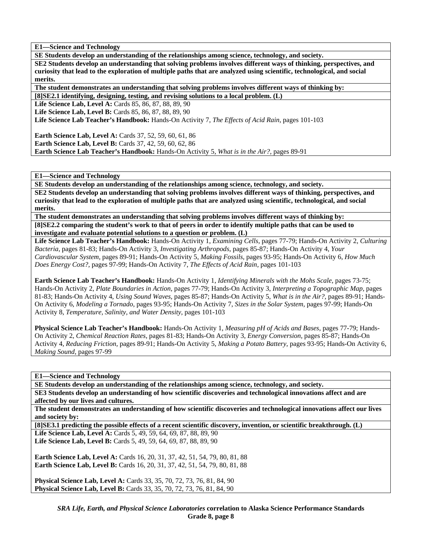**E1—Science and Technology** 

**SE Students develop an understanding of the relationships among science, technology, and society. SE2 Students develop an understanding that solving problems involves different ways of thinking, perspectives, and curiosity that lead to the exploration of multiple paths that are analyzed using scientific, technological, and social merits.** 

**The student demonstrates an understanding that solving problems involves different ways of thinking by:** 

**[8]SE2.1 identifying, designing, testing, and revising solutions to a local problem. (L)** 

**Life Science Lab, Level A: Cards 85, 86, 87, 88, 89, 90** 

**Life Science Lab, Level B: Cards 85, 86, 87, 88, 89, 90** 

**Life Science Lab Teacher's Handbook:** Hands-On Activity 7, *The Effects of Acid Rain,* pages 101-103

**Earth Science Lab, Level A: Cards 37, 52, 59, 60, 61, 86 Earth Science Lab, Level B:** Cards 37, 42, 59, 60, 62, 86 **Earth Science Lab Teacher's Handbook:** Hands-On Activity 5, *What is in the Air?,* pages 89-91

**E1—Science and Technology** 

**SE Students develop an understanding of the relationships among science, technology, and society.** 

**SE2 Students develop an understanding that solving problems involves different ways of thinking, perspectives, and curiosity that lead to the exploration of multiple paths that are analyzed using scientific, technological, and social merits.** 

**The student demonstrates an understanding that solving problems involves different ways of thinking by: [8]SE2.2 comparing the student's work to that of peers in order to identify multiple paths that can be used to investigate and evaluate potential solutions to a question or problem. (L)** 

**Life Science Lab Teacher's Handbook:** Hands-On Activity 1, *Examining Cells,* pages 77-79; Hands-On Activity 2, *Culturing Bacteria,* pages 81-83; Hands-On Activity 3, *Investigating Arthropods,* pages 85-87; Hands-On Activity 4, *Your Cardiovascular System,* pages 89-91; Hands-On Activity 5, *Making Fossils,* pages 93-95; Hands-On Activity 6, *How Much Does Energy Cost?,* pages 97-99; Hands-On Activity 7, *The Effects of Acid Rain,* pages 101-103

**Earth Science Lab Teacher's Handbook:** Hands-On Activity 1, *Identifying Minerals with the Mohs Scale,* pages 73-75; Hands-On Activity 2, *Plate Boundaries in Action,* pages 77-79; Hands-On Activity 3, *Interpreting a Topographic Map,* pages 81-83; Hands-On Activity 4, *Using Sound Waves,* pages 85-87; Hands-On Activity 5, *What is in the Air?,* pages 89-91; Hands-On Activity 6, *Modeling a Tornado,* pages 93-95; Hands-On Activity 7, *Sizes in the Solar System,* pages 97-99; Hands-On Activity 8, *Temperature, Salinity, and Water Density,* pages 101-103

**Physical Science Lab Teacher's Handbook:** Hands-On Activity 1, *Measuring pH of Acids and Bases,* pages 77-79; Hands-On Activity 2, *Chemical Reaction Rates,* pages 81-83; Hands-On Activity 3, *Energy Conversion,* pages 85-87; Hands-On Activity 4, *Reducing Friction,* pages 89-91; Hands-On Activity 5, *Making a Potato Battery,* pages 93-95; Hands-On Activity 6, *Making Sound,* pages 97-99

**E1—Science and Technology** 

**SE Students develop an understanding of the relationships among science, technology, and society.** 

**SE3 Students develop an understanding of how scientific discoveries and technological innovations affect and are affected by our lives and cultures.** 

**The student demonstrates an understanding of how scientific discoveries and technological innovations affect our lives and society by:** 

**[8]SE3.1 predicting the possible effects of a recent scientific discovery, invention, or scientific breakthrough. (L)** 

Life Science Lab, Level A: Cards 5, 49, 59, 64, 69, 87, 88, 89, 90 **Life Science Lab, Level B:** Cards 5, 49, 59, 64, 69, 87, 88, 89, 90

**Earth Science Lab, Level A: Cards 16, 20, 31, 37, 42, 51, 54, 79, 80, 81, 88 Earth Science Lab, Level B:** Cards 16, 20, 31, 37, 42, 51, 54, 79, 80, 81, 88

**Physical Science Lab, Level A:** Cards 33, 35, 70, 72, 73, 76, 81, 84, 90 **Physical Science Lab, Level B:** Cards 33, 35, 70, 72, 73, 76, 81, 84, 90